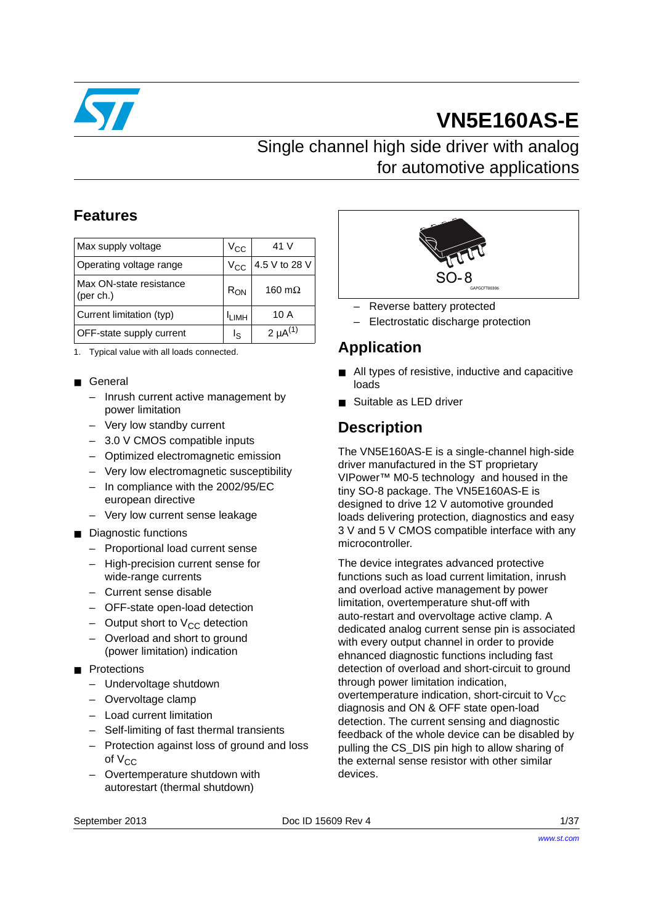

# **VN5E160AS-E**

## Single channel high side driver with analog for automotive applications

## **Features**

| Max supply voltage                   | $V_{\rm CC}$      | 41 V            |
|--------------------------------------|-------------------|-----------------|
| Operating voltage range              | $V_{\rm CC}$      | 4.5 V to 28 V   |
| Max ON-state resistance<br>(per ch.) | $R_{ON}$          | 160 $m\Omega$   |
| Current limitation (typ)             | <sup>I</sup> LIMH | 10 A            |
| OFF-state supply current             | اج                | 2 $\mu A^{(1)}$ |

1. Typical value with all loads connected.

- General
	- Inrush current active management by power limitation
	- Very low standby current
	- 3.0 V CMOS compatible inputs
	- Optimized electromagnetic emission
	- Very low electromagnetic susceptibility
	- In compliance with the 2002/95/EC european directive
	- Very low current sense leakage
- Diagnostic functions
	- Proportional load current sense
	- High-precision current sense for wide-range currents
	- Current sense disable
	- OFF-state open-load detection
	- $-$  Output short to  $V_{CC}$  detection
	- Overload and short to ground (power limitation) indication
- Protections
	- Undervoltage shutdown
	- Overvoltage clamp
	- Load current limitation
	- Self-limiting of fast thermal transients
	- Protection against loss of ground and loss of  $V_{CC}$
	- Overtemperature shutdown with autorestart (thermal shutdown)



- Reverse battery protected
- Electrostatic discharge protection

#### **Application**

- All types of resistive, inductive and capacitive loads
- Suitable as LED driver

## **Description**

The VN5E160AS-E is a single-channel high-side driver manufactured in the ST proprietary VIPower™ M0-5 technology and housed in the tiny SO-8 package. The VN5E160AS-E is designed to drive 12 V automotive grounded loads delivering protection, diagnostics and easy 3 V and 5 V CMOS compatible interface with any microcontroller.

The device integrates advanced protective functions such as load current limitation, inrush and overload active management by power limitation, overtemperature shut-off with auto-restart and overvoltage active clamp. A dedicated analog current sense pin is associated with every output channel in order to provide ehnanced diagnostic functions including fast detection of overload and short-circuit to ground through power limitation indication, overtemperature indication, short-circuit to  $V_{CC}$ diagnosis and ON & OFF state open-load detection. The current sensing and diagnostic feedback of the whole device can be disabled by pulling the CS\_DIS pin high to allow sharing of the external sense resistor with other similar devices.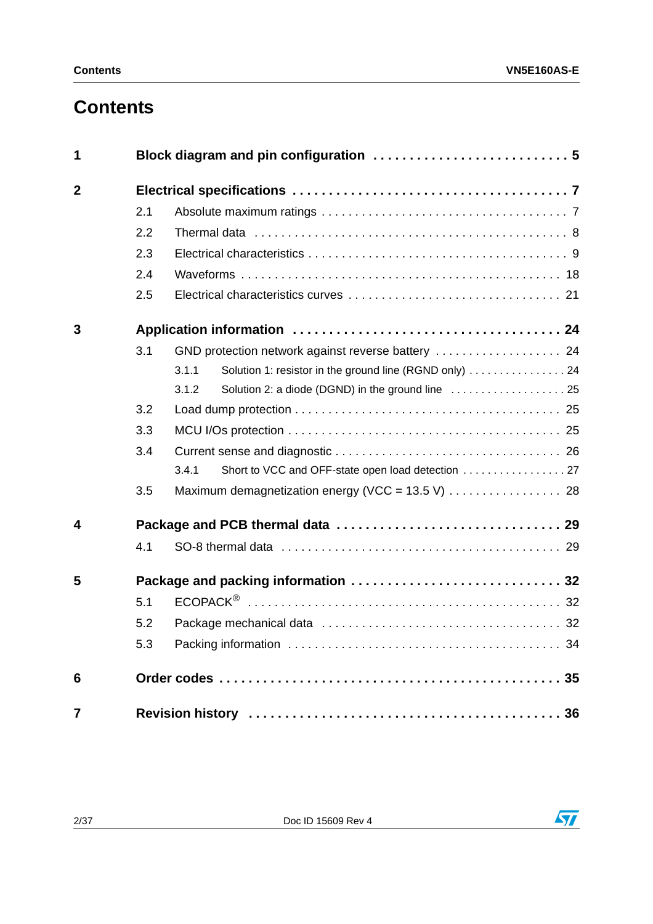# **Contents**

| 1              |     |                                                                  |
|----------------|-----|------------------------------------------------------------------|
| $\overline{2}$ |     |                                                                  |
|                | 2.1 |                                                                  |
|                | 2.2 |                                                                  |
|                | 2.3 |                                                                  |
|                | 2.4 |                                                                  |
|                | 2.5 |                                                                  |
| 3              |     |                                                                  |
|                | 3.1 |                                                                  |
|                |     | Solution 1: resistor in the ground line (RGND only)  24<br>3.1.1 |
|                |     | 3.1.2                                                            |
|                | 3.2 |                                                                  |
|                | 3.3 |                                                                  |
|                | 3.4 |                                                                  |
|                |     | 3.4.1                                                            |
|                | 3.5 |                                                                  |
| 4              |     |                                                                  |
|                | 4.1 |                                                                  |
| 5              |     |                                                                  |
|                | 5.1 |                                                                  |
|                | 5.2 |                                                                  |
|                | 5.3 |                                                                  |
| 6              |     |                                                                  |
| $\overline{7}$ |     |                                                                  |



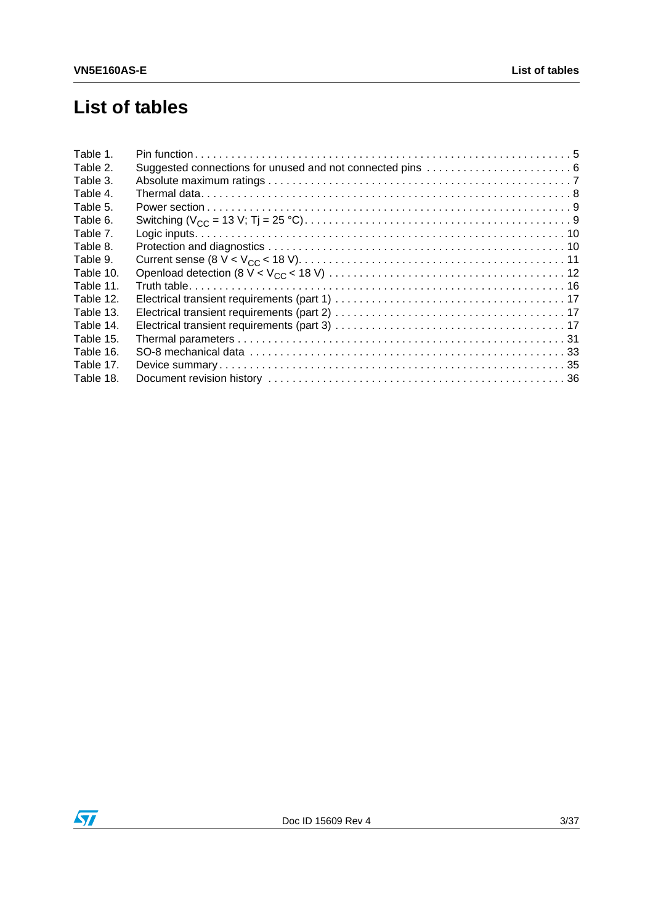# **List of tables**

| Table 1.  |  |
|-----------|--|
| Table 2.  |  |
| Table 3.  |  |
| Table 4.  |  |
| Table 5.  |  |
| Table 6.  |  |
| Table 7.  |  |
| Table 8.  |  |
| Table 9.  |  |
| Table 10. |  |
| Table 11. |  |
| Table 12. |  |
| Table 13. |  |
| Table 14. |  |
| Table 15. |  |
| Table 16. |  |
| Table 17. |  |
| Table 18. |  |

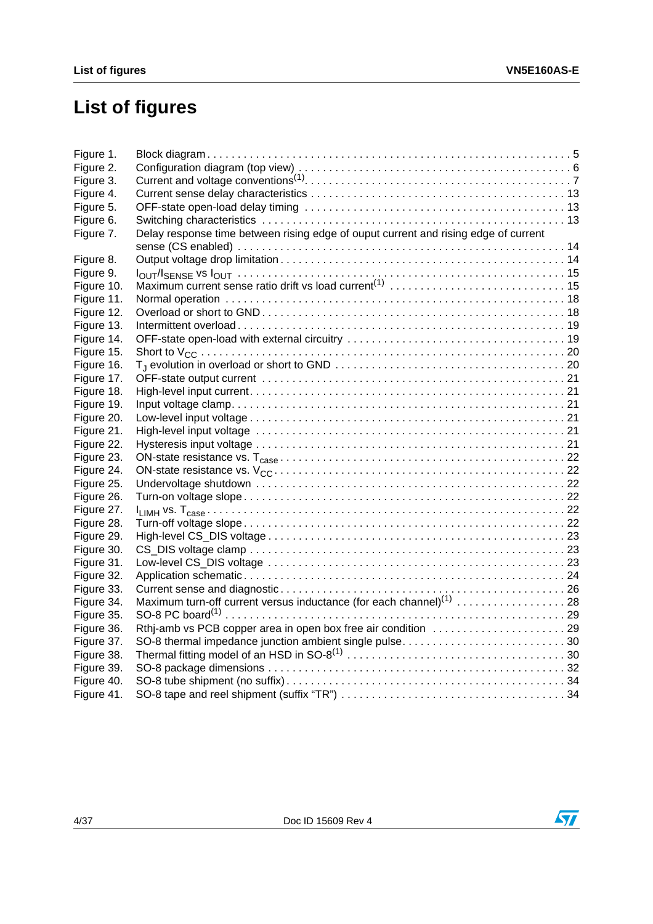# **List of figures**

| Figure 1.  |                                                                                     |  |
|------------|-------------------------------------------------------------------------------------|--|
| Figure 2.  |                                                                                     |  |
| Figure 3.  |                                                                                     |  |
| Figure 4.  |                                                                                     |  |
| Figure 5.  |                                                                                     |  |
| Figure 6.  |                                                                                     |  |
| Figure 7.  | Delay response time between rising edge of ouput current and rising edge of current |  |
|            |                                                                                     |  |
| Figure 8.  |                                                                                     |  |
| Figure 9.  |                                                                                     |  |
| Figure 10. |                                                                                     |  |
| Figure 11. |                                                                                     |  |
| Figure 12. |                                                                                     |  |
| Figure 13. |                                                                                     |  |
| Figure 14. |                                                                                     |  |
| Figure 15. |                                                                                     |  |
| Figure 16. |                                                                                     |  |
| Figure 17. |                                                                                     |  |
| Figure 18. |                                                                                     |  |
| Figure 19. |                                                                                     |  |
| Figure 20. |                                                                                     |  |
| Figure 21. |                                                                                     |  |
| Figure 22. |                                                                                     |  |
| Figure 23. |                                                                                     |  |
| Figure 24. |                                                                                     |  |
| Figure 25. |                                                                                     |  |
| Figure 26. |                                                                                     |  |
| Figure 27. |                                                                                     |  |
| Figure 28. |                                                                                     |  |
| Figure 29. |                                                                                     |  |
| Figure 30. |                                                                                     |  |
| Figure 31. |                                                                                     |  |
| Figure 32. |                                                                                     |  |
| Figure 33. |                                                                                     |  |
| Figure 34. |                                                                                     |  |
| Figure 35. |                                                                                     |  |
| Figure 36. |                                                                                     |  |
| Figure 37. |                                                                                     |  |
| Figure 38. |                                                                                     |  |
| Figure 39. |                                                                                     |  |
| Figure 40. |                                                                                     |  |
| Figure 41. |                                                                                     |  |

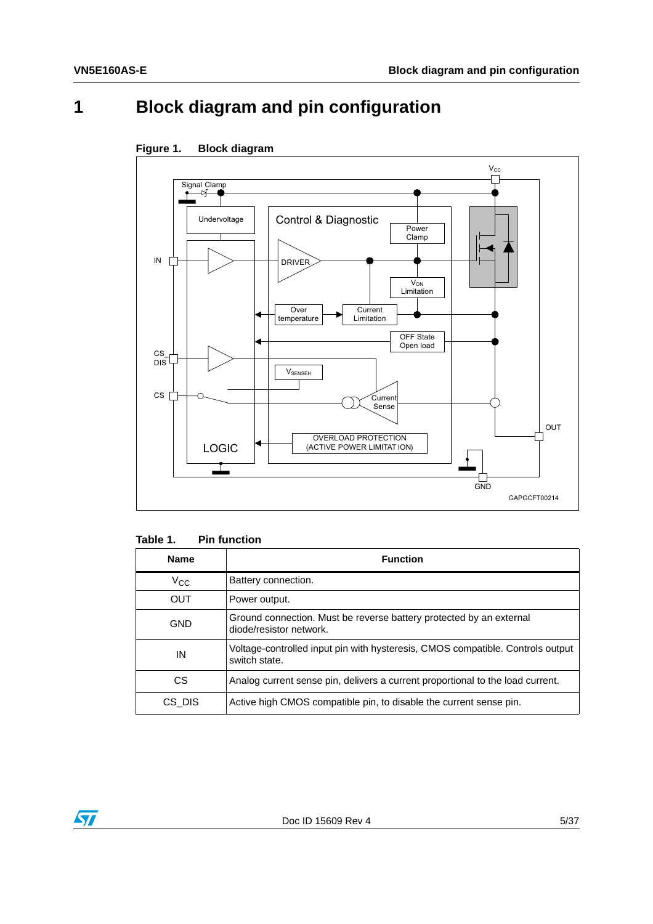# <span id="page-4-0"></span>**1 Block diagram and pin configuration**



<span id="page-4-2"></span>

<span id="page-4-1"></span>

| Table 1. | <b>Pin function</b> |
|----------|---------------------|
|----------|---------------------|

| <b>Name</b>  | <b>Function</b>                                                                                 |
|--------------|-------------------------------------------------------------------------------------------------|
| $V_{\rm CC}$ | Battery connection.                                                                             |
| <b>OUT</b>   | Power output.                                                                                   |
| <b>GND</b>   | Ground connection. Must be reverse battery protected by an external<br>diode/resistor network.  |
| IN           | Voltage-controlled input pin with hysteresis, CMOS compatible. Controls output<br>switch state. |
| CS.          | Analog current sense pin, delivers a current proportional to the load current.                  |
| CS DIS       | Active high CMOS compatible pin, to disable the current sense pin.                              |

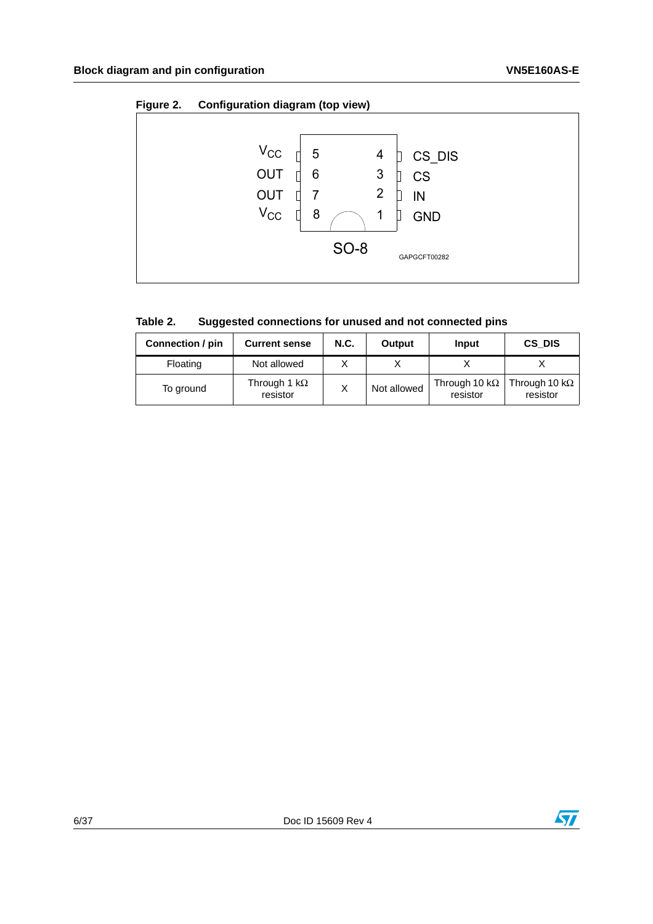<span id="page-5-1"></span>

| Figure 2. | Configuration diagram (top view)                  |             |                               |                                         |
|-----------|---------------------------------------------------|-------------|-------------------------------|-----------------------------------------|
|           | $V_{\rm CC}$<br><b>OUT</b><br>OUT<br>$V_{\rm CC}$ | 5<br>6<br>8 | 4<br>3<br>$\overline{2}$<br>1 | CS_DIS<br><b>CS</b><br>IN<br><b>GND</b> |
|           |                                                   |             | <b>SO-8</b>                   | GAPGCFT00282                            |

<span id="page-5-0"></span>

| Table 2.<br>Suggested connections for unused and not connected pins |  |
|---------------------------------------------------------------------|--|
|---------------------------------------------------------------------|--|

| Connection / pin | <b>Current sense</b>             | <b>N.C.</b> | Output      | Input                             | CS DIS                            |
|------------------|----------------------------------|-------------|-------------|-----------------------------------|-----------------------------------|
| Floating         | Not allowed                      |             |             |                                   |                                   |
| To ground        | Through 1 k $\Omega$<br>resistor |             | Not allowed | Through 10 k $\Omega$<br>resistor | Through 10 k $\Omega$<br>resistor |

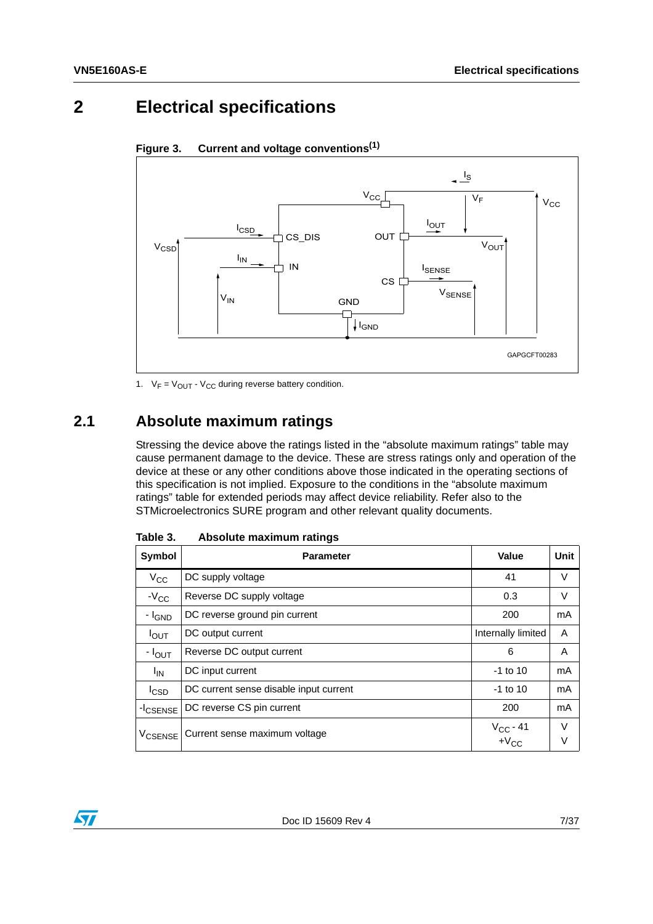## <span id="page-6-0"></span>**2 Electrical specifications**



<span id="page-6-3"></span>**Figure 3. Current and voltage convention[s\(1\)](#page-6-4)**

<span id="page-6-4"></span>1.  $V_F = V_{OUT} - V_{CC}$  during reverse battery condition.

## <span id="page-6-1"></span>**2.1 Absolute maximum ratings**

Stressing the device above the ratings listed in the "absolute maximum ratings" table may cause permanent damage to the device. These are stress ratings only and operation of the device at these or any other conditions above those indicated in the operating sections of this specification is not implied. Exposure to the conditions in the "absolute maximum ratings" table for extended periods may affect device reliability. Refer also to the STMicroelectronics SURE program and other relevant quality documents.

| Symbol                    | <b>Parameter</b>                       | Value                       | Unit   |
|---------------------------|----------------------------------------|-----------------------------|--------|
| $V_{\rm CC}$              | DC supply voltage                      | 41                          | V      |
| $-V_{CC}$                 | Reverse DC supply voltage              | 0.3                         | V      |
| - I <sub>GND</sub>        | DC reverse ground pin current          | 200                         | mA     |
| $I_{OUT}$                 | DC output current                      | Internally limited          | A      |
| $- I_{OUT}$               | Reverse DC output current              | 6                           | A      |
| <sup>I</sup> IN           | DC input current                       | $-1$ to 10                  | mA     |
| $I_{\text{CSD}}$          | DC current sense disable input current | $-1$ to 10                  | mA     |
| -I <sub>CSENSE</sub>      | DC reverse CS pin current              | 200                         | mA     |
| <b>V<sub>CSENSE</sub></b> | Current sense maximum voltage          | $V_{CC}$ - 41<br>+ $V_{CC}$ | V<br>V |

<span id="page-6-2"></span>Table 3. **Absolute maximum ratings** 

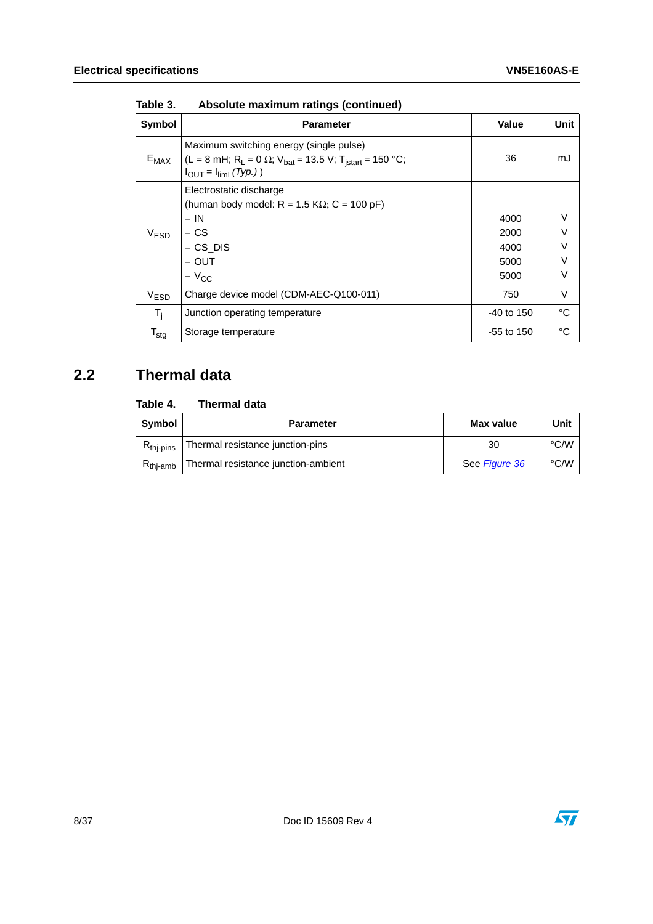| Symbol           | <b>Parameter</b>                                                                                                                                                                             | <b>Value</b>                         | Unit                                           |
|------------------|----------------------------------------------------------------------------------------------------------------------------------------------------------------------------------------------|--------------------------------------|------------------------------------------------|
| $E_{MAX}$        | Maximum switching energy (single pulse)<br>(L = 8 mH; R <sub>L</sub> = 0 $\Omega$ ; V <sub>bat</sub> = 13.5 V; T <sub>istart</sub> = 150 °C;<br>$I_{\text{OUT}} = I_{\text{limit}}(Type.)$ ) | 36                                   | mJ                                             |
| V <sub>ESD</sub> | Electrostatic discharge<br>(human body model: $R = 1.5 K\Omega$ ; C = 100 pF)<br>$- IN$<br>– CS<br>$-$ CS_DIS<br>– OUT<br>$-V_{CC}$                                                          | 4000<br>2000<br>4000<br>5000<br>5000 | $\vee$<br>$\vee$<br>$\vee$<br>$\vee$<br>$\vee$ |
| V <sub>ESD</sub> | Charge device model (CDM-AEC-Q100-011)                                                                                                                                                       | 750                                  | V                                              |
| $T_i$            | Junction operating temperature                                                                                                                                                               | $-40$ to 150                         | °C                                             |
| $T_{\text{stg}}$ | Storage temperature                                                                                                                                                                          | -55 to 150                           | °C                                             |

**Table 3. Absolute maximum ratings (continued)**

## <span id="page-7-0"></span>**2.2 Thermal data**

#### <span id="page-7-1"></span>Table 4. **Thermal data**

| Symbol                | <b>Parameter</b>                    | Max value     | Unit |
|-----------------------|-------------------------------------|---------------|------|
| $R_{\text{thi-pins}}$ | Thermal resistance junction-pins    | 30            | °C/W |
| $R_{\text{thi-amb}}$  | Thermal resistance junction-ambient | See Figure 36 | °C/W |

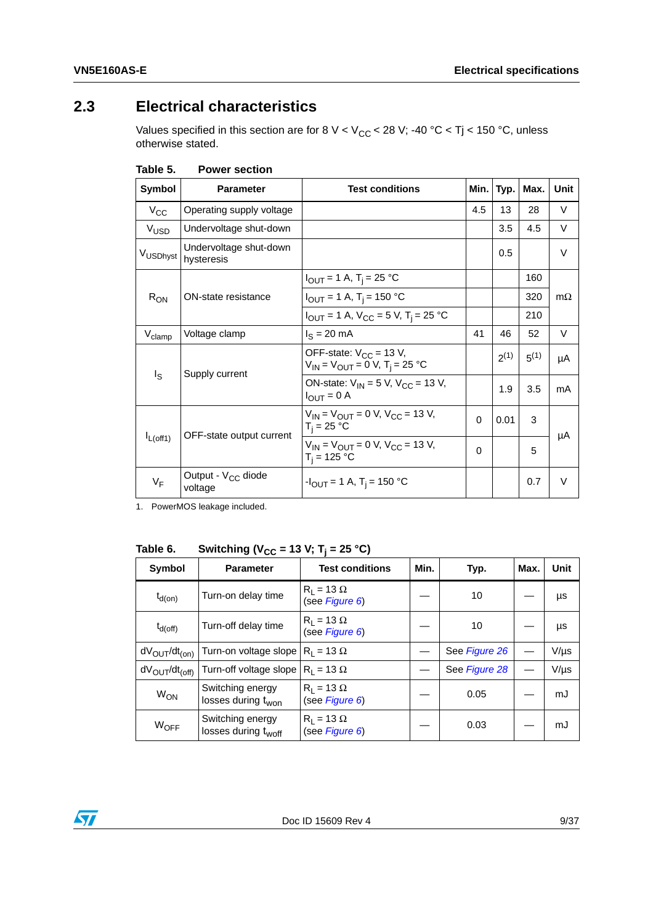## <span id="page-8-0"></span>**2.3 Electrical characteristics**

Values specified in this section are for 8 V < V<sub>CC</sub> < 28 V; -40 °C < Tj < 150 °C, unless otherwise stated.

| Symbol             | <b>Parameter</b>                          | <b>Test conditions</b>                                                                 | Min.     | Typ.      | Max.      | Unit      |  |
|--------------------|-------------------------------------------|----------------------------------------------------------------------------------------|----------|-----------|-----------|-----------|--|
| $V_{\rm CC}$       | Operating supply voltage                  |                                                                                        | 4.5      | 13        | 28        | V         |  |
| V <sub>USD</sub>   | Undervoltage shut-down                    |                                                                                        |          | 3.5       | 4.5       | $\vee$    |  |
| VUSDhyst           | Undervoltage shut-down<br>hysteresis      |                                                                                        |          | 0.5       |           | $\vee$    |  |
|                    |                                           | $I_{\text{OUT}} = 1 \text{ A}$ , T <sub>i</sub> = 25 °C                                |          |           | 160       |           |  |
| $R_{ON}$           | ON-state resistance                       | $I_{\text{OUT}} = 1 \text{ A}$ , T <sub>i</sub> = 150 °C                               |          |           | 320       | $m\Omega$ |  |
|                    |                                           | $I_{\text{OUT}} = 1 \text{ A}$ , $V_{\text{CC}} = 5 \text{ V}$ , $T_i = 25 \text{ °C}$ |          |           | 210       |           |  |
| $V_{\text{clamp}}$ | Voltage clamp                             | $IS = 20$ mA                                                                           | 41       | 46        | 52        | V         |  |
|                    | Supply current                            | OFF-state: $V_{CC}$ = 13 V,<br>$V_{1N} = V_{OUT} = 0 V$ , T <sub>i</sub> = 25 °C       |          | $2^{(1)}$ | $5^{(1)}$ | μA        |  |
| Is                 |                                           | ON-state: $V_{IN} = 5 V$ , $V_{CC} = 13 V$ ,<br>$I_{\text{OUT}} = 0$ A                 |          | 1.9       | 3.5       | mA        |  |
|                    | OFF-state output current                  | $V_{IN} = V_{OUIT} = 0$ V, $V_{CC} = 13$ V,<br>$T_i = 25 °C$                           | $\Omega$ | 0.01      | 3         |           |  |
| $I_{L(off1)}$      |                                           | $V_{IN} = V_{OUIT} = 0 V$ , $V_{CC} = 13 V$ ,<br>$T_i = 125 °C$                        | $\Omega$ |           | 5         | μA        |  |
| $V_F$              | Output - V <sub>CC</sub> diode<br>voltage | $-I_{\text{OUT}} = 1 \text{ A}$ , T <sub>i</sub> = 150 °C                              |          |           | 0.7       | $\vee$    |  |

<span id="page-8-1"></span>Table 5. **Power section** 

1. PowerMOS leakage included.

<span id="page-8-2"></span>Table 6. **Switching (V<sub>CC</sub> = 13 V; T<sub>j</sub> = 25 °C)** 

| Symbol                              | <b>Parameter</b>                                    | <b>Test conditions</b>              | Min. | Typ.          | Max. | Unit      |
|-------------------------------------|-----------------------------------------------------|-------------------------------------|------|---------------|------|-----------|
| $t_{d(on)}$                         | Turn-on delay time                                  | $R_1 = 13 \Omega$<br>(see Figure 6) |      | 10            |      | μs        |
| $t_{d(off)}$                        | Turn-off delay time                                 | $R_1 = 13 \Omega$<br>(see Figure 6) |      | 10            |      | μs        |
| $dV_{OUT}/dt_{(on)}$                | Turn-on voltage slope $ R_1 = 13 \Omega$            |                                     |      | See Figure 26 |      | $V/\mu s$ |
| $dV_{\text{OUT}}/dt_{\text{(off)}}$ | Turn-off voltage slope $ R_1 = 13 \Omega$           |                                     |      | See Figure 28 |      | $V/\mu s$ |
| <b>W<sub>ON</sub></b>               | Switching energy<br>losses during t <sub>won</sub>  | $R_1 = 13 \Omega$<br>(see Figure 6) |      | 0.05          |      | mJ        |
| $W_{\text{OFF}}$                    | Switching energy<br>losses during t <sub>woff</sub> | $R_1 = 13 \Omega$<br>(see Figure 6) |      | 0.03          |      | mJ        |

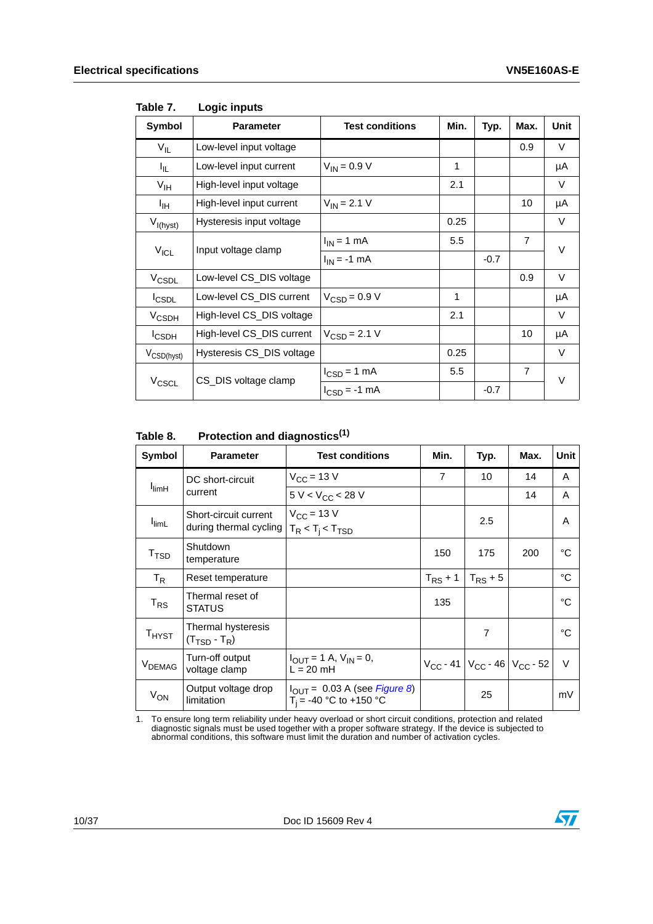| Symbol                  | <b>Parameter</b>          | <b>Test conditions</b>          | Min. | Typ.   | Max.           | Unit   |  |
|-------------------------|---------------------------|---------------------------------|------|--------|----------------|--------|--|
| $V_{IL}$                | Low-level input voltage   |                                 |      |        | 0.9            | V      |  |
| I <sub>IL</sub>         | Low-level input current   | $V_{IN} = 0.9 V$                | 1    |        |                | μA     |  |
| $V_{\text{IH}}$         | High-level input voltage  |                                 | 2.1  |        |                | V      |  |
| Iн                      | High-level input current  | $V_{IN} = 2.1 V$                |      |        | 10             | μA     |  |
| $V_{I(hyst)}$           | Hysteresis input voltage  |                                 | 0.25 |        |                | $\vee$ |  |
|                         | Input voltage clamp       | $I_{IN}$ = 1 mA                 | 5.5  |        | $\overline{7}$ | V      |  |
| $V_{ICL}$               |                           | $I_{IN}$ = -1 mA                |      | $-0.7$ |                |        |  |
| V <sub>CSDL</sub>       | Low-level CS_DIS voltage  |                                 |      |        | 0.9            | V      |  |
| $I_{\text{CSDL}}$       | Low-level CS_DIS current  | $V_{CSD} = 0.9 V$               | 1    |        |                | μA     |  |
| <b>V<sub>CSDH</sub></b> | High-level CS_DIS voltage |                                 | 2.1  |        |                | V      |  |
| <b>I</b> CSDH           | High-level CS_DIS current | $V_{\text{CSD}} = 2.1 V$        |      |        | 10             | μA     |  |
| V <sub>CSD(hyst)</sub>  | Hysteresis CS_DIS voltage |                                 | 0.25 |        |                | V      |  |
|                         | CS_DIS voltage clamp      | $I_{\text{CSD}} = 1 \text{ mA}$ | 5.5  |        | $\overline{7}$ | V      |  |
| V <sub>CSCL</sub>       |                           | $I_{CSD} = -1$ mA               |      | $-0.7$ |                |        |  |

#### <span id="page-9-0"></span>Table 7. **Logic inputs**

<span id="page-9-1"></span>Table 8. **Protection and diagnostics(1)** 

| Symbol                   | <b>Parameter</b>                                | <b>Test conditions</b>                                                | Min.           | Typ.                                      | Max. | Unit        |  |  |
|--------------------------|-------------------------------------------------|-----------------------------------------------------------------------|----------------|-------------------------------------------|------|-------------|--|--|
|                          | DC short-circuit                                | $V_{CC}$ = 13 V                                                       | $\overline{7}$ | 10                                        | 14   | A           |  |  |
| <b>I</b> <sub>limH</sub> | current                                         | $5 V < V_{CC} < 28 V$                                                 |                |                                           | 14   | A           |  |  |
| l <sub>limL</sub>        | Short-circuit current<br>during thermal cycling | $V_{\text{CC}}$ = 13 V<br>$T_R < T_i < T_{TSD}$                       |                | 2.5                                       |      | A           |  |  |
| T <sub>TSD</sub>         | Shutdown<br>temperature                         |                                                                       | 150            | 175                                       | 200  | °€          |  |  |
| $T_R$                    | Reset temperature                               |                                                                       | $T_{RS}$ + 1   | $T_{RS}$ + 5                              |      | $^{\circ}C$ |  |  |
| $T_{RS}$                 | Thermal reset of<br><b>STATUS</b>               |                                                                       | 135            |                                           |      | °C.         |  |  |
| $T_{H YST}$              | Thermal hysteresis<br>$(T_{\text{TSD}} - T_R)$  |                                                                       |                | $\overline{7}$                            |      | ∘∩          |  |  |
| V <sub>DEMAG</sub>       | Turn-off output<br>voltage clamp                | $I_{\text{OUT}} = 1$ A, $V_{\text{IN}} = 0$ ,<br>$L = 20$ mH          |                | $V_{CC}$ - 41 $V_{CC}$ - 46 $V_{CC}$ - 52 |      | $\vee$      |  |  |
| $V_{ON}$                 | Output voltage drop<br>limitation               | $I_{\text{OUT}}$ = 0.03 A (see Figure 8)<br>$T_i = -40$ °C to +150 °C |                | 25                                        |      | mV          |  |  |

1. To ensure long term reliability under heavy overload or short circuit conditions, protection and related diagnostic signals must be used together with a proper software strategy. If the device is subjected to abnormal conditions, this software must limit the duration and number of activation cycles.

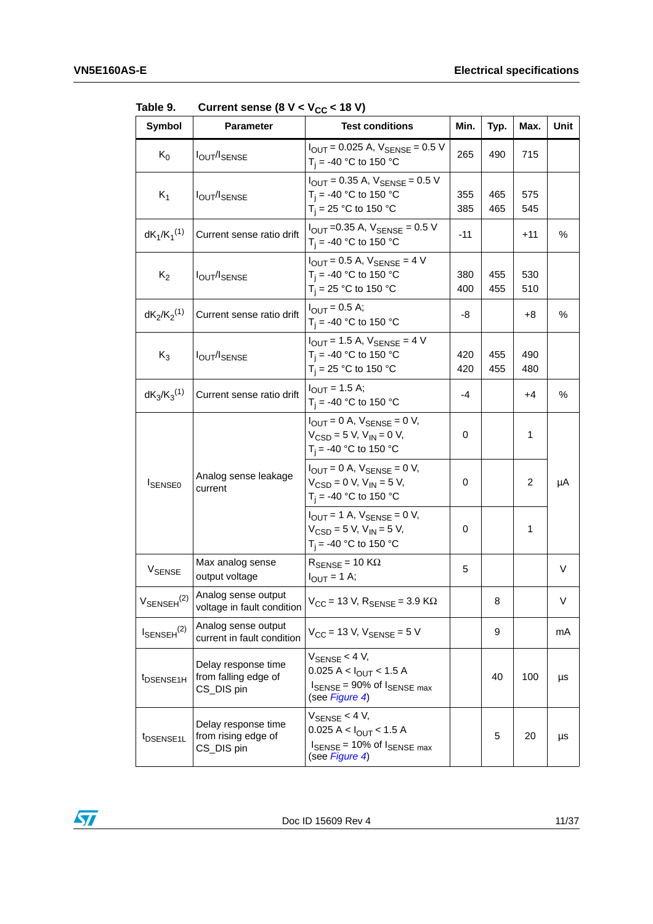| Symbol                    | $\frac{1}{2}$ of the series (b) $\frac{1}{2}$ or $\frac{1}{2}$ (c) $\frac{1}{2}$ in the series of $\frac{1}{2}$<br><b>Parameter</b> | <b>Test conditions</b>                                                                                                                   | Min.        | Typ.       | Max.           | Unit |
|---------------------------|-------------------------------------------------------------------------------------------------------------------------------------|------------------------------------------------------------------------------------------------------------------------------------------|-------------|------------|----------------|------|
| $K_0$                     | <b>IOUT/ISENSE</b>                                                                                                                  | $I_{OUT} = 0.025$ A, $V_{SENSE} = 0.5$ V<br>$T_i = -40$ °C to 150 °C                                                                     | 265         | 490        | 715            |      |
| $K_1$                     | <b>IOUT/ISENSE</b>                                                                                                                  | $I_{\text{OUT}} = 0.35$ A, $V_{\text{SENSE}} = 0.5$ V<br>$T_i = -40$ °C to 150 °C<br>$T_i = 25 °C$ to 150 °C                             | 355<br>385  | 465<br>465 | 575<br>545     |      |
| $dK_1/K_1^{(1)}$          | Current sense ratio drift                                                                                                           | $I_{\text{OUT}} = 0.35$ A, $V_{\text{SENSE}} = 0.5$ V<br>$T_i = -40 °C$ to 150 °C                                                        | -11         |            | $+11$          | $\%$ |
| $K_2$                     | <b>IOUT/ISENSE</b>                                                                                                                  | $I_{\text{OUT}} = 0.5$ A, $V_{\text{SENSE}} = 4$ V<br>$T_i = -40$ °C to 150 °C<br>$T_i = 25 °C$ to 150 °C                                | 380<br>400  | 455<br>455 | 530<br>510     |      |
| $dK_2/K_2^{(1)}$          | Current sense ratio drift                                                                                                           | $I_{OUT} = 0.5 A;$<br>$T_i = -40$ °C to 150 °C                                                                                           | -8          |            | +8             | ℅    |
| $K_3$                     | <b>IOUT/ISENSE</b>                                                                                                                  | $I_{\text{OUT}}$ = 1.5 A, $V_{\text{SENSE}}$ = 4 V<br>$T_i = -40$ °C to 150 °C<br>$T_i = 25 °C$ to 150 °C                                | 420<br>420  | 455<br>455 | 490<br>480     |      |
| $dK_3/K_3^{(1)}$          | Current sense ratio drift                                                                                                           | $I_{OUT} = 1.5 A;$<br>$T_i = -40$ °C to 150 °C                                                                                           | -4          |            | +4             | %    |
|                           | Analog sense leakage<br>current                                                                                                     | $I_{\text{OUT}} = 0$ A, $V_{\text{SENSE}} = 0$ V,<br>$V_{CSD} = 5 V, V_{IN} = 0 V,$<br>$T_i = -40 °C$ to 150 °C                          | 0           |            | 1              |      |
| <b>ISENSE0</b>            |                                                                                                                                     | $I_{O I J T} = 0$ A, $V_{\text{SENSE}} = 0$ V,<br>$V_{CSD} = 0 V, V_{IN} = 5 V,$<br>$T_i = -40$ °C to 150 °C                             | $\mathbf 0$ |            | $\overline{c}$ | μA   |
|                           |                                                                                                                                     | $I_{OIIT}$ = 1 A, $V_{SENSE}$ = 0 V,<br>$V_{CSD} = 5 V, V_{IN} = 5 V,$<br>$T_i = -40 °C$ to 150 °C                                       | 0           |            | 1              |      |
| V <sub>SENSE</sub>        | Max analog sense<br>output voltage                                                                                                  | $R_{\text{SENSE}} = 10 \text{ K}\Omega$<br>$I_{OUT} = 1 A;$                                                                              | 5           |            |                | V    |
| $V_{\text{SENSEH}}^{(2)}$ | Analog sense output<br>voltage in fault condition                                                                                   | $V_{CC}$ = 13 V, $R_{SENSE}$ = 3.9 K $\Omega$                                                                                            |             | 8          |                | V    |
| $I_{\text{SENSEH}}^{(2)}$ | Analog sense output<br>current in fault condition                                                                                   | $V_{CC}$ = 13 V, $V_{SENSE}$ = 5 V                                                                                                       |             | 9          |                | mA   |
| t <sub>DSENSE1H</sub>     | Delay response time<br>from falling edge of<br>CS_DIS pin                                                                           | $V_{\text{SENSE}} < 4 V$ ,<br>$0.025 A < I_{\text{OUT}} < 1.5 A$<br>$I_{\text{SENSE}}$ = 90% of $I_{\text{SENSE max}}$<br>(see Figure 4) |             | 40         | 100            | μs   |
| t <sub>DSENSE1L</sub>     | Delay response time<br>from rising edge of<br>CS_DIS pin                                                                            | $V_{\text{SENSE}}$ < 4 V,<br>$0.025 A < I_{OUT}$ < 1.5 A<br>$I_{\text{SENSE}}$ = 10% of $I_{\text{SENSE max}}$<br>(see Figure 4)         |             | 5          | 20             | μs   |

<span id="page-10-0"></span>Table 9. Current sense  $(8 \text{ V} < V_{\text{eq}} < 18 \text{ V})$ 

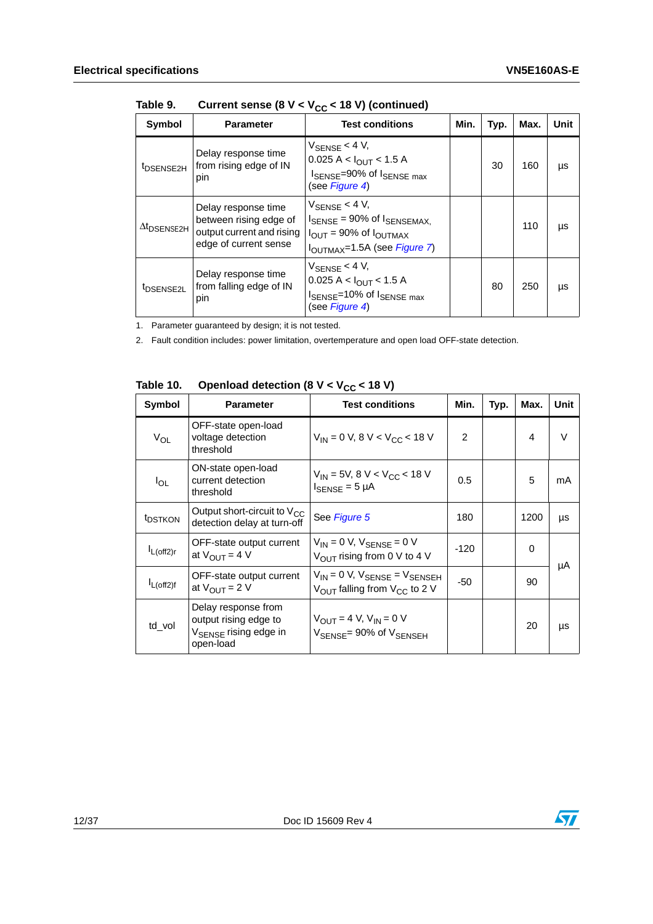| Symbol                         | <b>Parameter</b>                                                                                    | <b>Test conditions</b>                                                                                                                                                        | Min. | Typ. | Max. | Unit |
|--------------------------------|-----------------------------------------------------------------------------------------------------|-------------------------------------------------------------------------------------------------------------------------------------------------------------------------------|------|------|------|------|
| <sup>t</sup> DSENSE2H          | Delay response time<br>from rising edge of IN<br>pin                                                | $V_{\text{SENSE}}$ < 4 V,<br>$0.025 A < I_{OUIT} < 1.5 A$<br>ISENSE=90% of ISENSE max<br>(see Figure 4)                                                                       |      | 30   | 160  | μs   |
| $\Delta t$ <sub>DSENSE2H</sub> | Delay response time<br>between rising edge of<br>output current and rising<br>edge of current sense | $V_{\text{SENSE}}$ < 4 V,<br>$I_{\text{SENSE}}$ = 90% of $I_{\text{SENSEMAX}}$ .<br>$I_{\text{OUT}}$ = 90% of $I_{\text{OUTMAX}}$<br>I <sub>OUTMAX</sub> =1.5A (see Figure 7) |      |      | 110  | μs   |
| <sup>t</sup> DSENSE2L          | Delay response time<br>from falling edge of IN<br>pin                                               | $V_{\text{SENSE}}$ < 4 V,<br>$0.025 A < I_{OUT} < 1.5 A$<br>ISENSE=10% of ISENSE max<br>(see Figure 4)                                                                        |      | 80   | 250  | μs   |

Table 9. Current sense  $(8 V < V_{CC} < 18 V)$  (continued)

1. Parameter guaranteed by design; it is not tested.

2. Fault condition includes: power limitation, overtemperature and open load OFF-state detection.

<span id="page-11-0"></span>

| Table 10. | Openload detection (8 $V < V_{CC}$ < 18 V) |  |
|-----------|--------------------------------------------|--|
|           |                                            |  |

| Symbol              | <b>Parameter</b>                                                                               | <b>Test conditions</b>                                                                           | Min.   | Typ. | Max. | Unit   |  |
|---------------------|------------------------------------------------------------------------------------------------|--------------------------------------------------------------------------------------------------|--------|------|------|--------|--|
| $V_{OL}$            | OFF-state open-load<br>voltage detection<br>threshold                                          | $V_{IN}$ = 0 V, 8 V < V <sub>CC</sub> < 18 V                                                     | 2      |      | 4    | $\vee$ |  |
| $I_{OL}$            | ON-state open-load<br>current detection<br>threshold                                           | $V_{\text{IN}}$ = 5V, 8 V < V <sub>CC</sub> < 18 V<br>$I_{\text{SENSE}} = 5 \mu A$               | 0.5    |      | 5    | mA     |  |
| <sup>t</sup> DSTKON | Output short-circuit to $V_{CC}$<br>detection delay at turn-off                                | See Figure 5                                                                                     | 180    |      | 1200 | μs     |  |
| $I_{L(off2)r}$      | OFF-state output current<br>at $V_{\text{OUT}} = 4$ V                                          | $V_{IN} = 0 V$ , $V_{SENSE} = 0 V$<br>$V_{\text{OUT}}$ rising from 0 V to 4 V                    | $-120$ |      | 0    |        |  |
| $I_{L(off2)f}$      | OFF-state output current<br>at $V_{\text{OUT}} = 2 V$                                          | $V_{IN} = 0$ V, $V_{SENSE} = V_{SENSEH}$<br>$V_{\text{OUT}}$ falling from $V_{\text{CC}}$ to 2 V | -50    |      | 90   | μA     |  |
| td_vol              | Delay response from<br>output rising edge to<br>V <sub>SENSE</sub> rising edge in<br>open-load | $V_{OUT} = 4 V, V_{IN} = 0 V$<br>$V_{\text{SENSE}} = 90\%$ of $V_{\text{SENSEH}}$                |        |      | 20   | μs     |  |

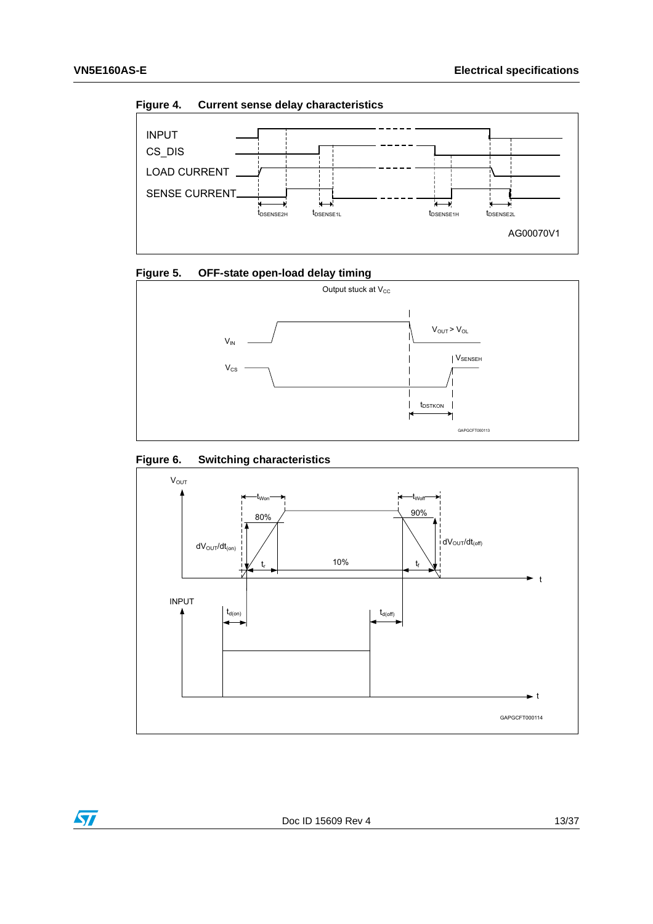<span id="page-12-0"></span>**Figure 4. Current sense delay characteristics**



<span id="page-12-1"></span>



#### <span id="page-12-2"></span>**Figure 6. Switching characteristics**

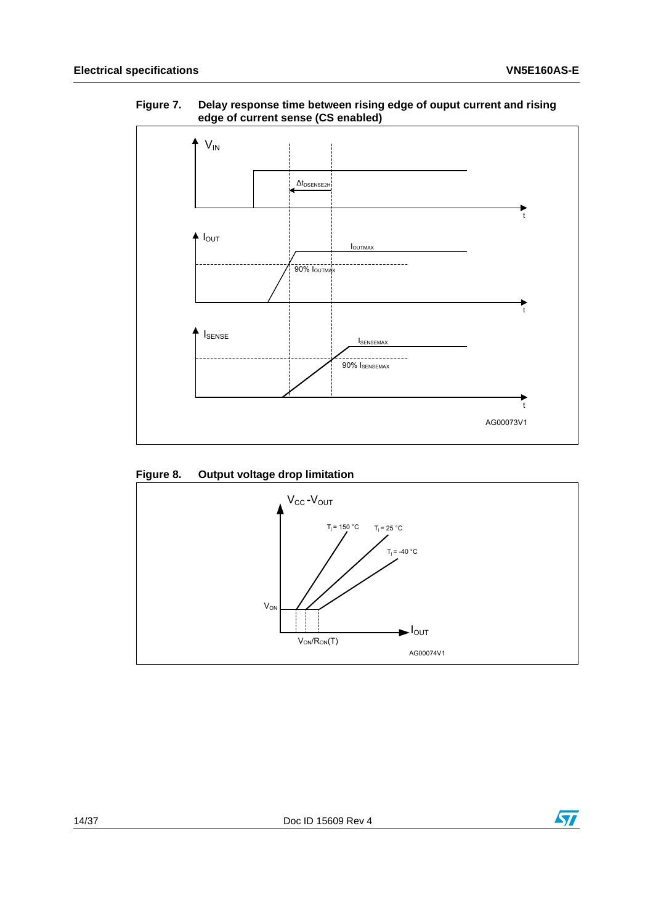

#### <span id="page-13-0"></span>**Figure 7. Delay response time between rising edge of ouput current and rising edge of current sense (CS enabled)**

#### <span id="page-13-1"></span>**Figure 8. Output voltage drop limitation**



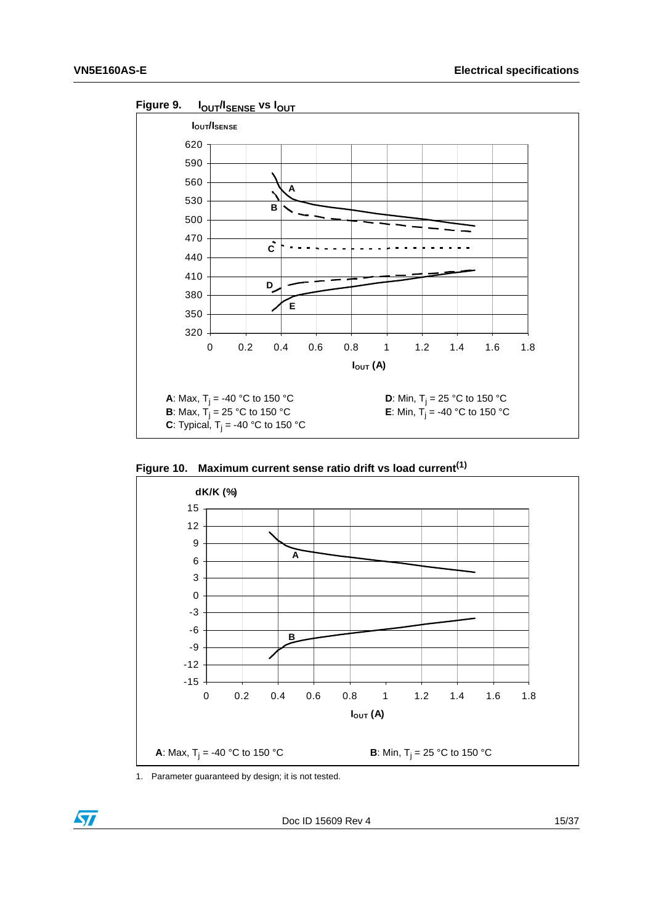

<span id="page-14-0"></span>

<span id="page-14-1"></span>**Figure 10. Maximum current sense ratio drift vs load current[\(1\)](#page-14-2)**



<span id="page-14-2"></span>1. Parameter guaranteed by design; it is not tested.

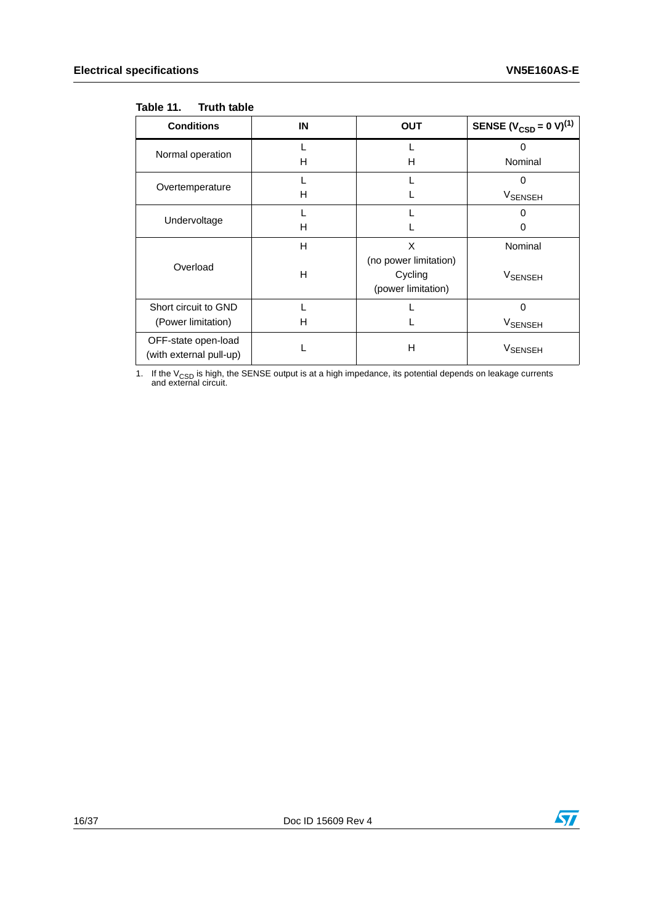#### <span id="page-15-0"></span>Table 11. **Truth table**

| <b>Conditions</b>                              | IN | <b>OUT</b>            | SENSE ( $V_{\text{CSD}} = 0 \text{ V}$ ) <sup>(1)</sup> |
|------------------------------------------------|----|-----------------------|---------------------------------------------------------|
| Normal operation                               |    |                       | 0                                                       |
|                                                | н  | н                     | Nominal                                                 |
|                                                |    |                       | ი                                                       |
| Overtemperature                                | н  |                       | V <sub>SENSEH</sub>                                     |
|                                                |    |                       | O                                                       |
| Undervoltage                                   | н  |                       | 0                                                       |
|                                                | н  | X                     | Nominal                                                 |
| Overload                                       |    | (no power limitation) |                                                         |
|                                                | н  | Cycling               | VSENSEH                                                 |
|                                                |    | (power limitation)    |                                                         |
| Short circuit to GND                           |    |                       | 0                                                       |
| (Power limitation)                             | н  |                       | <b>V<sub>SENSEH</sub></b>                               |
| OFF-state open-load<br>(with external pull-up) |    | Н                     | <b>VSENSEH</b>                                          |

1. If the V<sub>CSD</sub> is high, the SENSE output is at a high impedance, its potential depends on leakage currents and external circuit.

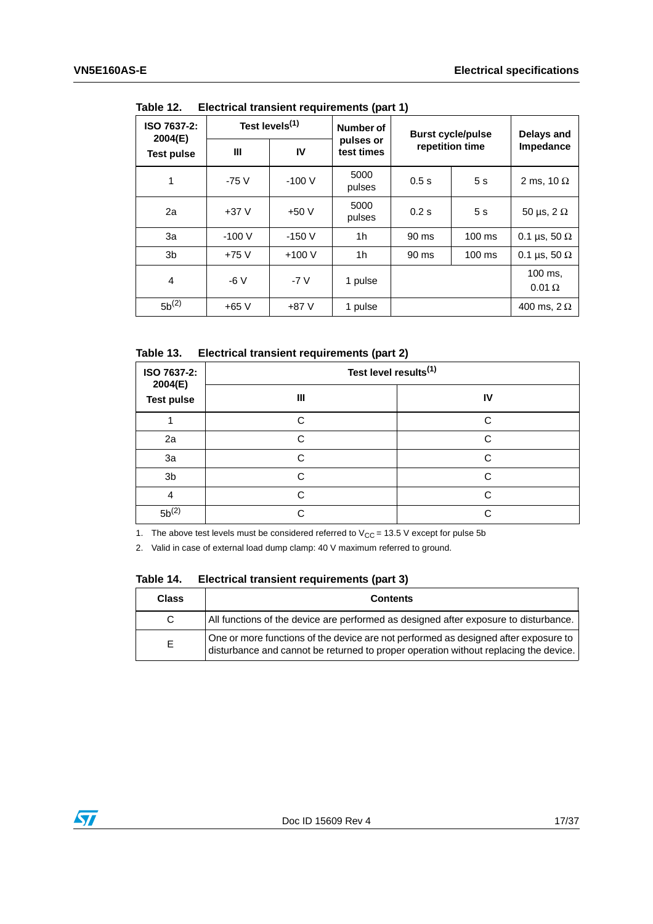| ISO 7637-2:<br>2004(E) | Test levels <sup>(1)</sup> |         | Number of               | <b>Burst cycle/pulse</b> | Delays and       |                          |  |  |  |  |
|------------------------|----------------------------|---------|-------------------------|--------------------------|------------------|--------------------------|--|--|--|--|
| <b>Test pulse</b>      | Ш                          | IV      | pulses or<br>test times | repetition time          |                  | Impedance                |  |  |  |  |
| 1                      | $-75V$                     | $-100V$ | 5000<br>pulses          | 0.5s                     | 5s               | 2 ms, 10 $\Omega$        |  |  |  |  |
| 2a                     | $+37V$                     | $+50V$  | 5000<br>pulses          | 0.2s                     | 5s               | 50 µs, $2 \Omega$        |  |  |  |  |
| За                     | $-100V$                    | $-150V$ | 1h                      | 90 ms                    | $100 \text{ ms}$ | 0.1 µs, 50 $\Omega$      |  |  |  |  |
| 3b                     | $+75V$                     | $+100V$ | 1h                      | 90 ms                    | $100 \text{ ms}$ | 0.1 µs, 50 $\Omega$      |  |  |  |  |
| 4                      | $-6V$                      | $-7V$   | 1 pulse                 |                          |                  | 100 ms.<br>$0.01 \Omega$ |  |  |  |  |
| $5b^{(2)}$             | $+65V$                     | $+87V$  | 1 pulse                 |                          |                  | 400 ms, $2 \Omega$       |  |  |  |  |

<span id="page-16-0"></span>Table 12 **Flectrical transient requirements (part 1)** 

<span id="page-16-1"></span>Table 13. **Electrical transient requirements (part 2)** 

| ISO 7637-2:<br>2004(E)<br><b>Test pulse</b> | Test level results <sup>(1)</sup> |        |  |  |  |
|---------------------------------------------|-----------------------------------|--------|--|--|--|
|                                             | Ш                                 | IV     |  |  |  |
|                                             | C.                                | C      |  |  |  |
| 2a                                          | ⌒                                 | C      |  |  |  |
| 3a                                          | ◠                                 | C      |  |  |  |
| 3b                                          | C                                 | $\cap$ |  |  |  |
| 4                                           | ⌒                                 | C      |  |  |  |
| $5b^{(2)}$                                  |                                   | ⌒      |  |  |  |

1. The above test levels must be considered referred to  $V_{CC} = 13.5$  V except for pulse 5b

2. Valid in case of external load dump clamp: 40 V maximum referred to ground.

<span id="page-16-2"></span>

| Table 14. |  |  | Electrical transient requirements (part 3) |  |  |
|-----------|--|--|--------------------------------------------|--|--|
|-----------|--|--|--------------------------------------------|--|--|

| <b>Class</b> | <b>Contents</b>                                                                                                                                                             |
|--------------|-----------------------------------------------------------------------------------------------------------------------------------------------------------------------------|
| C.           | All functions of the device are performed as designed after exposure to disturbance.                                                                                        |
| E.           | One or more functions of the device are not performed as designed after exposure to<br>disturbance and cannot be returned to proper operation without replacing the device. |

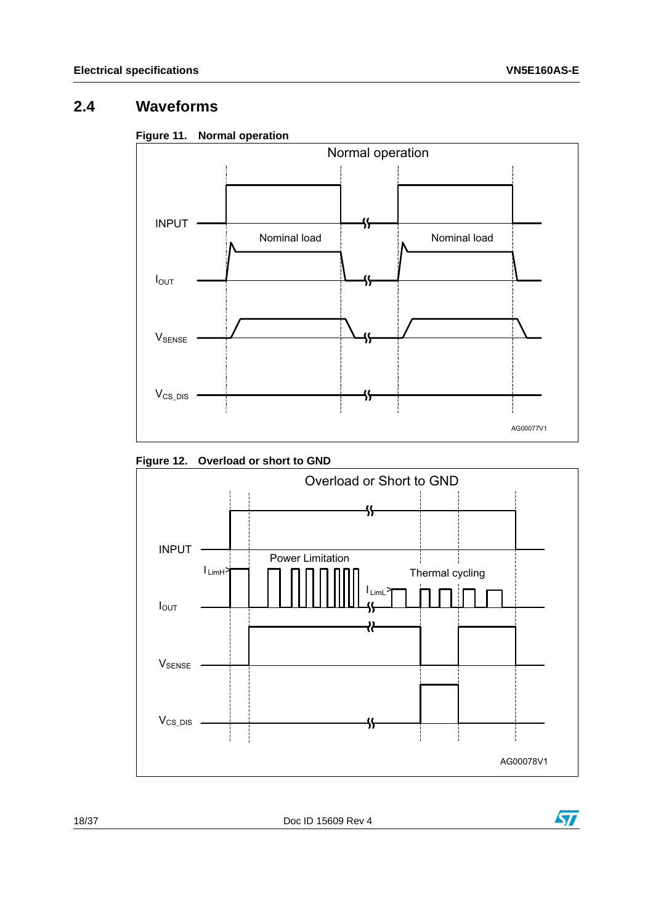## <span id="page-17-0"></span>**2.4 Waveforms**

<span id="page-17-1"></span>



<span id="page-17-2"></span>



18/37 Doc ID 15609 Rev 4

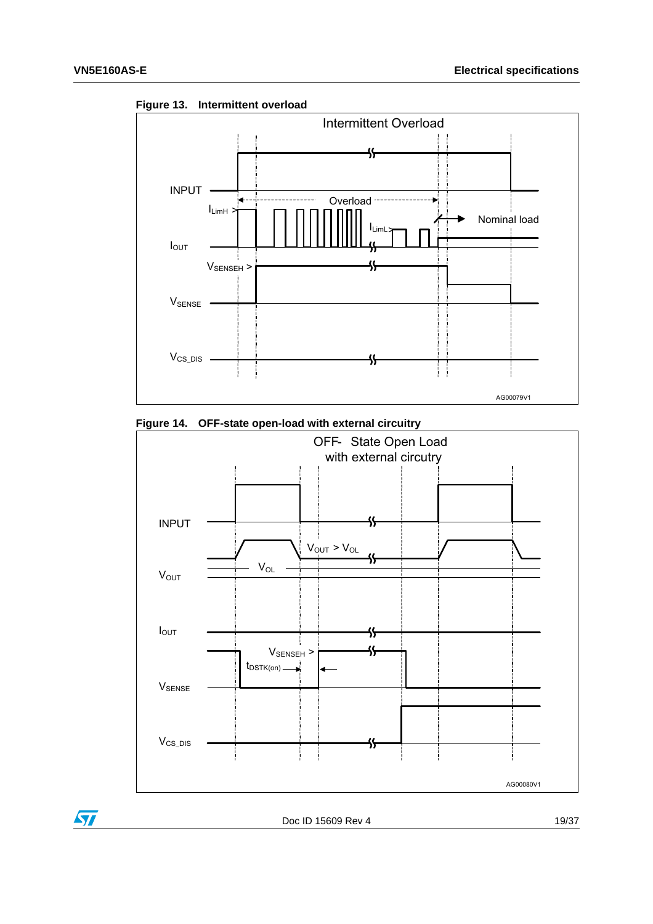

<span id="page-18-0"></span>

<span id="page-18-1"></span>



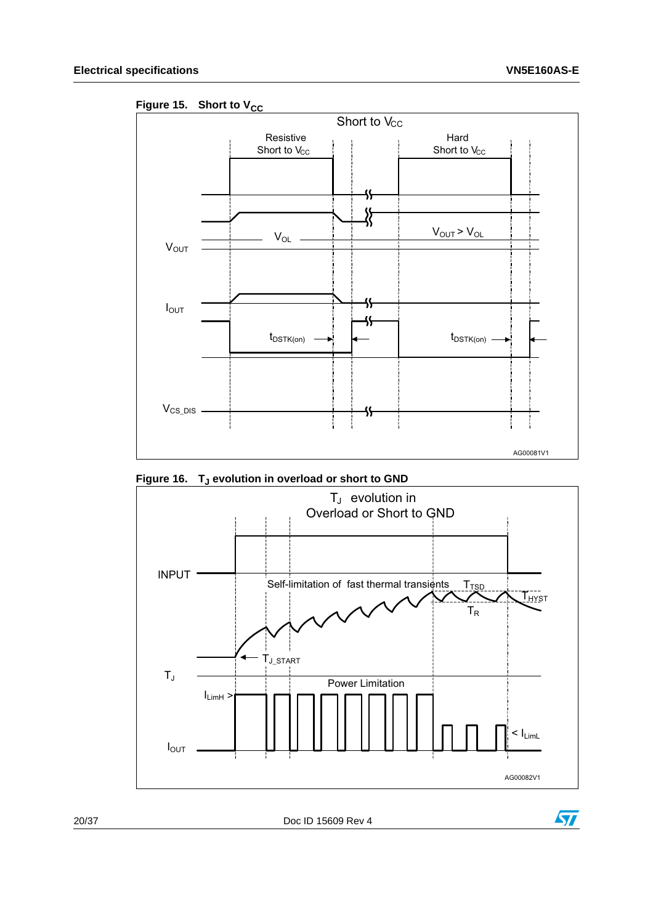<span id="page-19-0"></span>Figure 15. Short to V<sub>CC</sub>



<span id="page-19-1"></span>Figure 16. T<sub>J</sub> evolution in overload or short to GND



20/37 Doc ID 15609 Rev 4

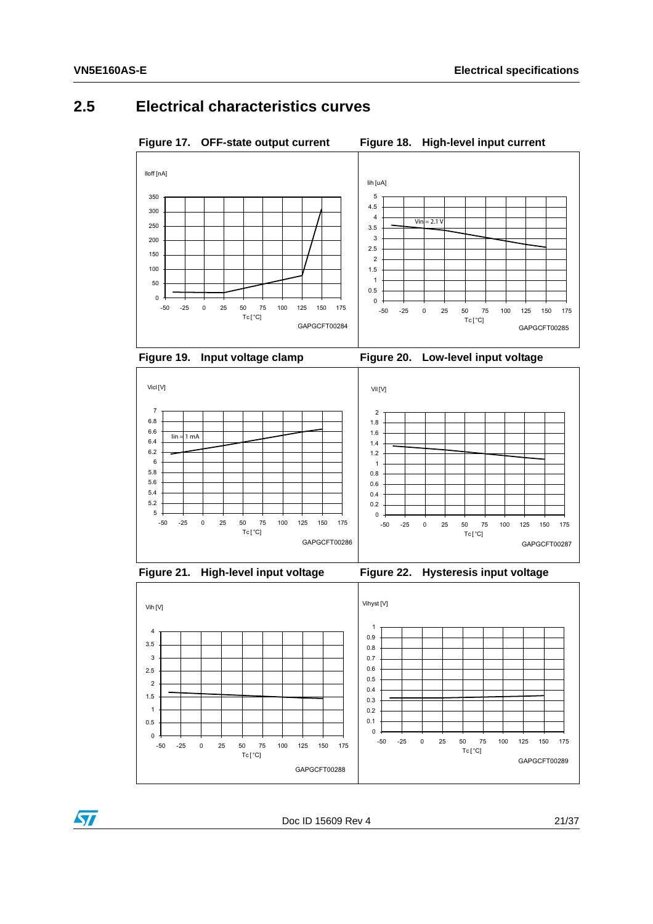#### <span id="page-20-0"></span>**2.5 Electrical characteristics curves**

<span id="page-20-1"></span>Figure 17. OFF-state output current Figure 18. High-level input current

<span id="page-20-4"></span><span id="page-20-2"></span>





<span id="page-20-3"></span>



<span id="page-20-5"></span>

<span id="page-20-6"></span>



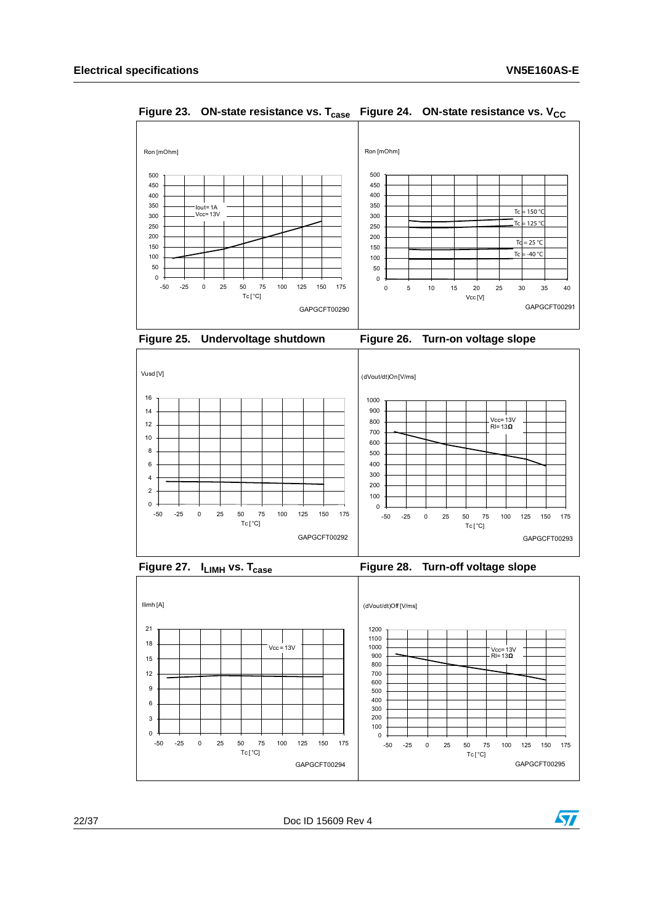

<span id="page-21-1"></span><span id="page-21-0"></span>**Figure 23. ON-state resistance vs. T<sub>case</sub> Figure 24. ON-state resistance vs. V<sub>CC</sub>** 

<span id="page-21-2"></span>

<span id="page-21-3"></span>



<span id="page-21-5"></span>

<span id="page-21-4"></span>



22/37 Doc ID 15609 Rev 4

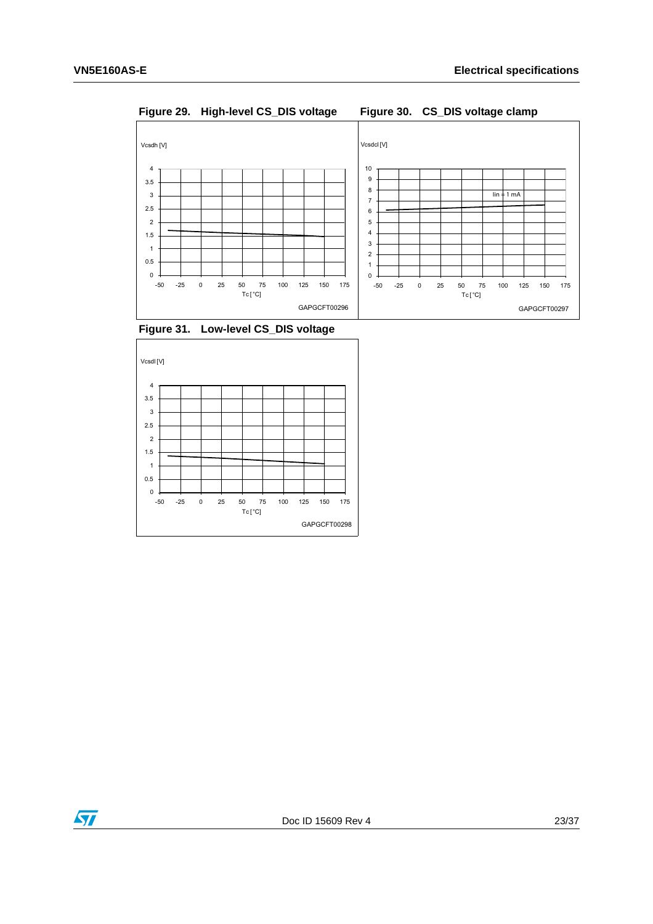<span id="page-22-1"></span><span id="page-22-0"></span>**Figure 29. High-level CS\_DIS voltage Figure 30. CS\_DIS voltage clamp**



<span id="page-22-2"></span>**Figure 31. Low-level CS\_DIS voltage**



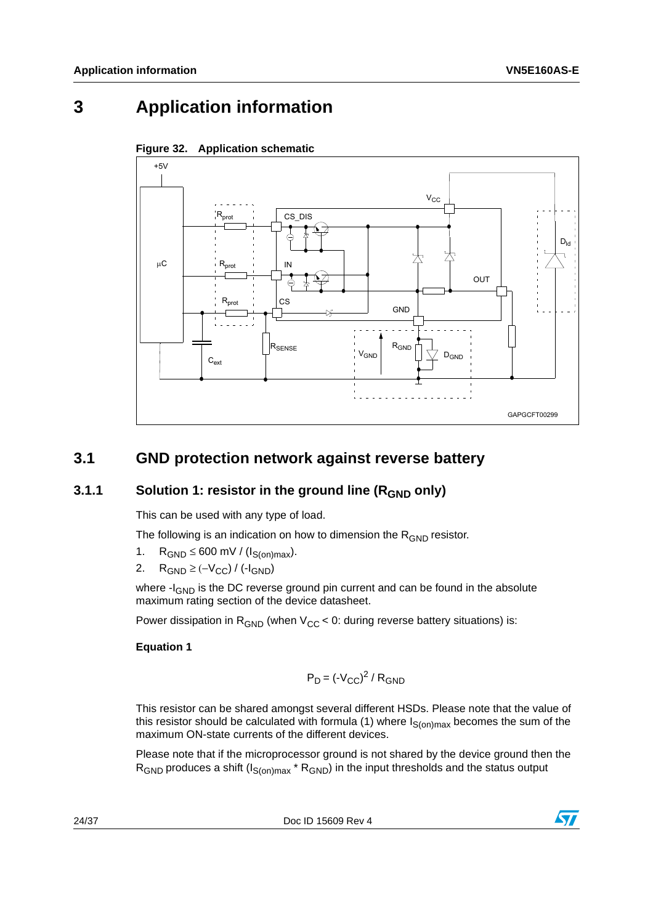## <span id="page-23-0"></span>**3 Application information**



<span id="page-23-3"></span>

## <span id="page-23-1"></span>**3.1 GND protection network against reverse battery**

#### <span id="page-23-2"></span>**3.1.1** Solution 1: resistor in the ground line (R<sub>GND</sub> only)

This can be used with any type of load.

The following is an indication on how to dimension the  $R_{GND}$  resistor.

- 1.  $R_{GND} \leq 600$  mV / ( $I_{S(on)max}$ ).
- 2. R<sub>GND</sub> ≥ (- $V_{CC}$ ) / (- $I_{GND}$ )

where -I<sub>GND</sub> is the DC reverse ground pin current and can be found in the absolute maximum rating section of the device datasheet.

Power dissipation in  $R_{GND}$  (when  $V_{CC}$  < 0: during reverse battery situations) is:

#### **Equation 1**

$$
P_D = (-V_{CC})^2 / R_{GND}
$$

This resistor can be shared amongst several different HSDs. Please note that the value of this resistor should be calculated with formula (1) where  $I_{S(on)max}$  becomes the sum of the maximum ON-state currents of the different devices.

Please note that if the microprocessor ground is not shared by the device ground then the  $R_{GND}$  produces a shift ( $I_{S(on)max}$ <sup>\*</sup>  $R_{GND}$ ) in the input thresholds and the status output

24/37 Doc ID 15609 Rev 4

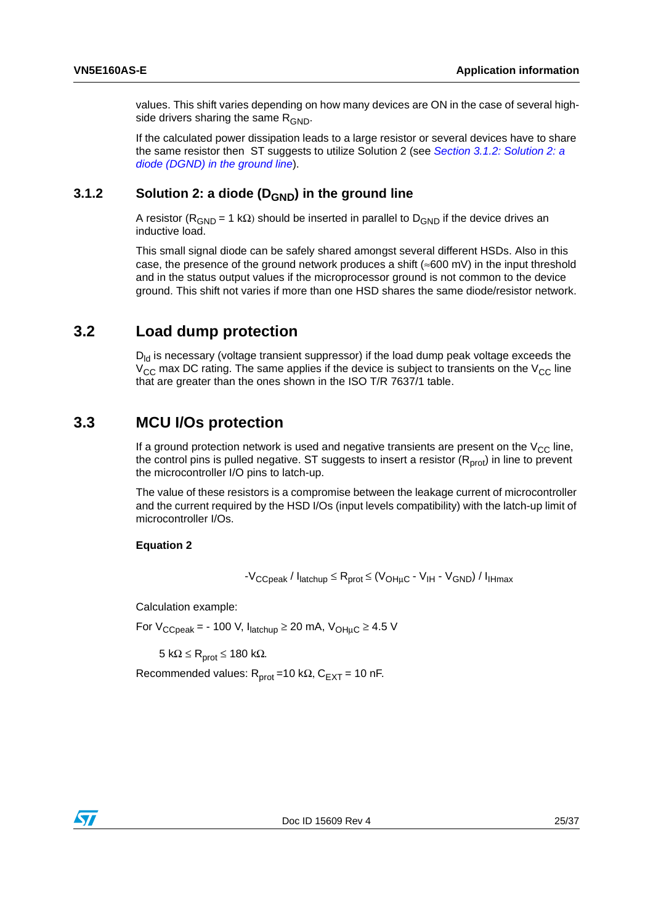values. This shift varies depending on how many devices are ON in the case of several highside drivers sharing the same  $R_{GND}$ .

If the calculated power dissipation leads to a large resistor or several devices have to share the same resistor then ST suggests to utilize Solution 2 (see *[Section 3.1.2: Solution 2: a](#page-24-0)  [diode \(DGND\) in the ground line](#page-24-0)*).

#### <span id="page-24-0"></span>**3.1.2** Solution 2: a diode (D<sub>GND</sub>) in the ground line

A resistor ( $R_{GND}$  = 1 kΩ) should be inserted in parallel to  $D_{GND}$  if the device drives an inductive load.

This small signal diode can be safely shared amongst several different HSDs. Also in this case, the presence of the ground network produces a shift ( $\approx 600$  mV) in the input threshold and in the status output values if the microprocessor ground is not common to the device ground. This shift not varies if more than one HSD shares the same diode/resistor network.

#### <span id="page-24-1"></span>**3.2 Load dump protection**

 $D_{\rm id}$  is necessary (voltage transient suppressor) if the load dump peak voltage exceeds the  $V_{CC}$  max DC rating. The same applies if the device is subject to transients on the  $V_{CC}$  line that are greater than the ones shown in the ISO T/R 7637/1 table.

#### <span id="page-24-2"></span>**3.3 MCU I/Os protection**

If a ground protection network is used and negative transients are present on the  $V_{CC}$  line, the control pins is pulled negative. ST suggests to insert a resistor  $(R<sub>prot</sub>)$  in line to prevent the microcontroller I/O pins to latch-up.

The value of these resistors is a compromise between the leakage current of microcontroller and the current required by the HSD I/Os (input levels compatibility) with the latch-up limit of microcontroller I/Os.

#### **Equation 2**

 $-V_{\text{CCpeak}}/I_{\text{latchup}} \leq R_{\text{prot}} \leq (V_{\text{OHuc}} - V_{\text{IH}} - V_{\text{GND}})/I_{\text{IHmax}}$ 

Calculation example:

For  $V_{CCpeak}$  = - 100 V,  $I_{\text{latchup}} \ge 20$  mA,  $V_{\text{OHuc}} \ge 4.5$  V

5 kΩ  $\leq$  R<sub>prot</sub>  $\leq$  180 kΩ.

Recommended values:  $R_{prot} = 10 k\Omega$ ,  $C_{EXT} = 10 nF$ .

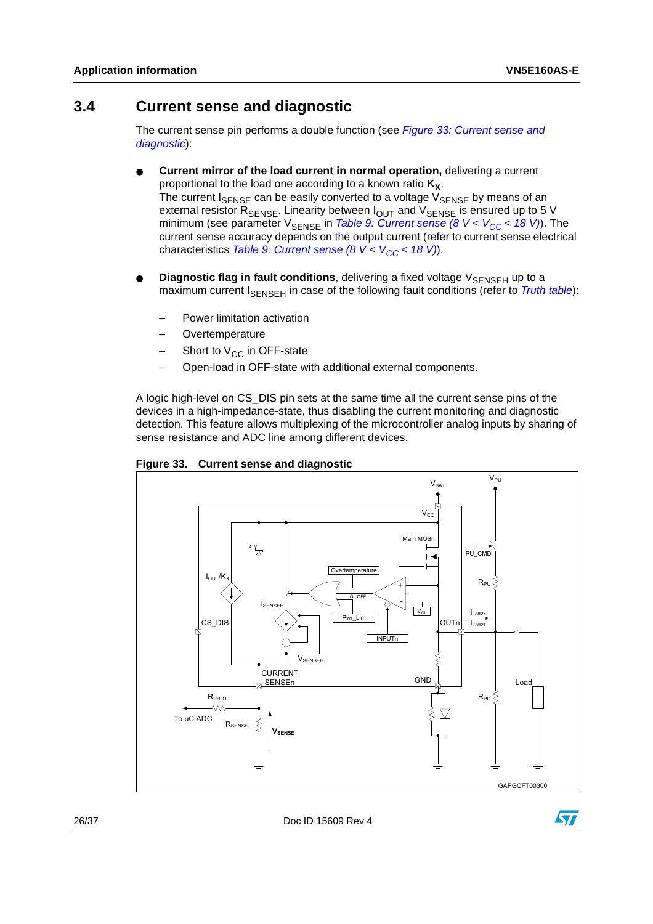#### <span id="page-25-0"></span>**3.4 Current sense and diagnostic**

The current sense pin performs a double function (see *[Figure 33: Current sense and](#page-25-1)  [diagnostic](#page-25-1)*):

- **Current mirror of the load current in normal operation, delivering a current** proportional to the load one according to a known ratio  $K_X$ . The current  $I_{\text{SENSE}}$  can be easily converted to a voltage  $V_{\text{SENSE}}$  by means of an external resistor R<sub>SENSE</sub>. Linearity between I<sub>OUT</sub> and V<sub>SENSE</sub> is ensured up to 5 V minimum (see parameter V<sub>SENSE</sub> in *Table 9: Current sense (8 V < V<sub>CC</sub> < 18 V)*). The current sense accuracy depends on the output current (refer to current sense electrical characteristics *Table 9: Current sense (8 V < V<sub>CC</sub> < 18 V)*).
- **Diagnostic flag in fault conditions**, delivering a fixed voltage V<sub>SENSEH</sub> up to a maximum current I<sub>SENSEH</sub> in case of the following fault conditions (refer to *[Truth table](#page-15-0)*):
	- Power limitation activation
	- **Overtemperature**
	- Short to  $V_{CC}$  in OFF-state
	- Open-load in OFF-state with additional external components.

A logic high-level on CS\_DIS pin sets at the same time all the current sense pins of the devices in a high-impedance-state, thus disabling the current monitoring and diagnostic detection. This feature allows multiplexing of the microcontroller analog inputs by sharing of sense resistance and ADC line among different devices.



<span id="page-25-1"></span>**Figure 33. Current sense and diagnostic**

26/37 Doc ID 15609 Rev 4

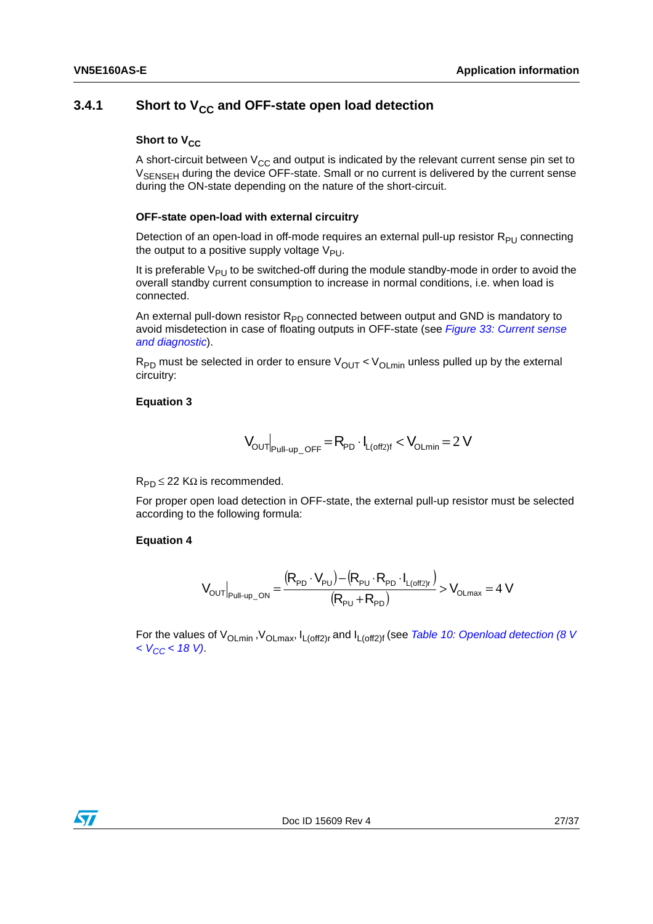#### <span id="page-26-0"></span>**3.4.1** Short to V<sub>CC</sub> and OFF-state open load detection

#### **Short to V<sub>CC</sub>**

A short-circuit between  $V_{CC}$  and output is indicated by the relevant current sense pin set to V<sub>SENSEH</sub> during the device OFF-state. Small or no current is delivered by the current sense during the ON-state depending on the nature of the short-circuit.

#### **OFF-state open-load with external circuitry**

Detection of an open-load in off-mode requires an external pull-up resistor  $R_{PI}$  connecting the output to a positive supply voltage  $V_{PI}$ .

It is preferable  $V_{PI}$  to be switched-off during the module standby-mode in order to avoid the overall standby current consumption to increase in normal conditions, i.e. when load is connected.

An external pull-down resistor  $R_{PD}$  connected between output and GND is mandatory to avoid misdetection in case of floating outputs in OFF-state (see *[Figure 33: Current sense](#page-25-1)  [and diagnostic](#page-25-1)*).

 $R_{PD}$  must be selected in order to ensure  $V_{OUT}$  <  $V_{OLmin}$  unless pulled up by the external circuitry:

#### **Equation 3**

$$
\textbf{V}_{\text{OUT}}\big|_{\text{Full-up\_OFF}}\!=\!\textbf{R}_{\text{PD}}\cdot\textbf{I}_{\text{L(off2)}f}<\textbf{V}_{\text{OLmin}}\!=\!2\,\textbf{V}
$$

 $R_{PD} \leq 22$  K $\Omega$  is recommended.

For proper open load detection in OFF-state, the external pull-up resistor must be selected according to the following formula:

#### **Equation 4**

$$
V_{\text{OUT}}|_{\text{Pul}\vdash up\_ON} = \frac{(R_{\text{PD}} \cdot V_{\text{PU}}) - (R_{\text{PU}} \cdot R_{\text{PD}} \cdot I_{\text{L(off2)r}})}{(R_{\text{PU}} + R_{\text{PD}})} > V_{\text{OLmax}} = 4 \text{ V}
$$

For the values of V<sub>OLmin</sub>, V<sub>OLmax</sub>, I<sub>L(off2)r</sub> and I<sub>L(off2)f</sub> (see *Table 10: Openload detection (8 V [< VCC < 18 V\)](#page-11-0)*.

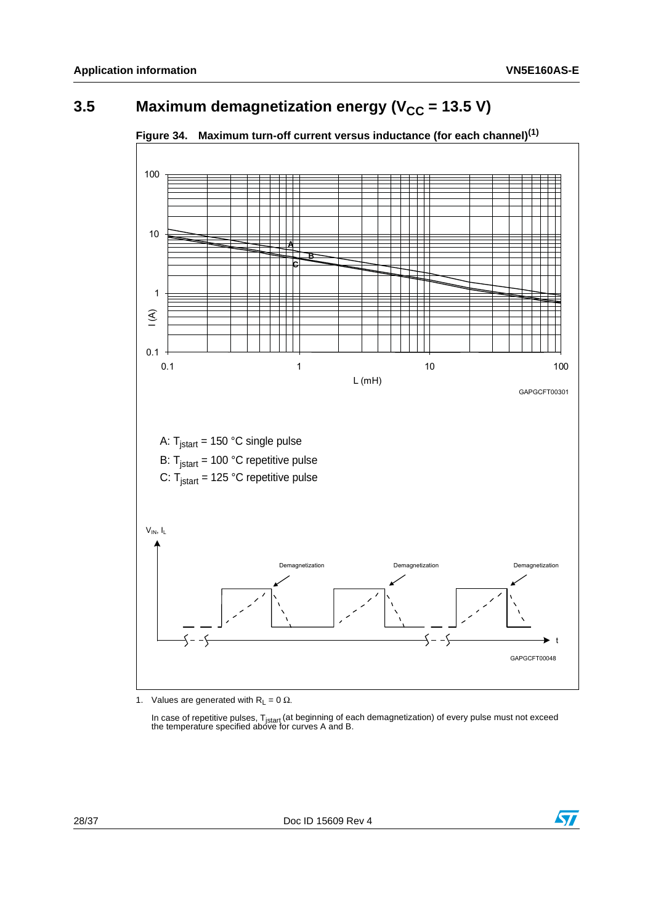## <span id="page-27-0"></span>**3.5** Maximum demagnetization energy (V<sub>CC</sub> = 13.5 V)



<span id="page-27-1"></span>**Figure 34. Maximum turn-off current versus inductance (for each channel)[\(1\)](#page-27-2)**

<span id="page-27-2"></span>1. Values are generated with  $R_L = 0 \Omega$ .

In case of repetitive pulses, T<sub>istart</sub> (at beginning of each demagnetization) of every pulse must not exceed<br>the temperature specified above for curves A and B.

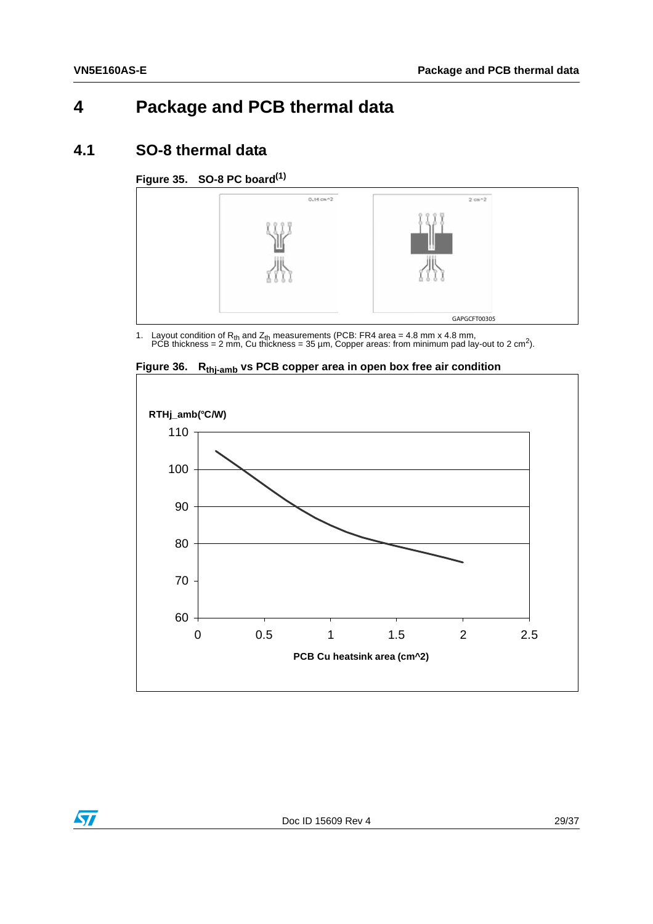## <span id="page-28-0"></span>**4 Package and PCB thermal data**

#### <span id="page-28-1"></span>**4.1 SO-8 thermal data**

#### <span id="page-28-2"></span>**Figure 35. SO-8 PC boar[d\(1\)](#page-28-4)**



<span id="page-28-4"></span>1. Layout condition of R<sub>th</sub> and Z<sub>th</sub> measurements (PCB: FR4 area = 4.8 mm x 4.8 mm,<br>PCB thickness = 2 mm, Cu thickness = 35 µm, Copper areas: from minimum pad lay-out to 2 cm<sup>2</sup>).



<span id="page-28-3"></span>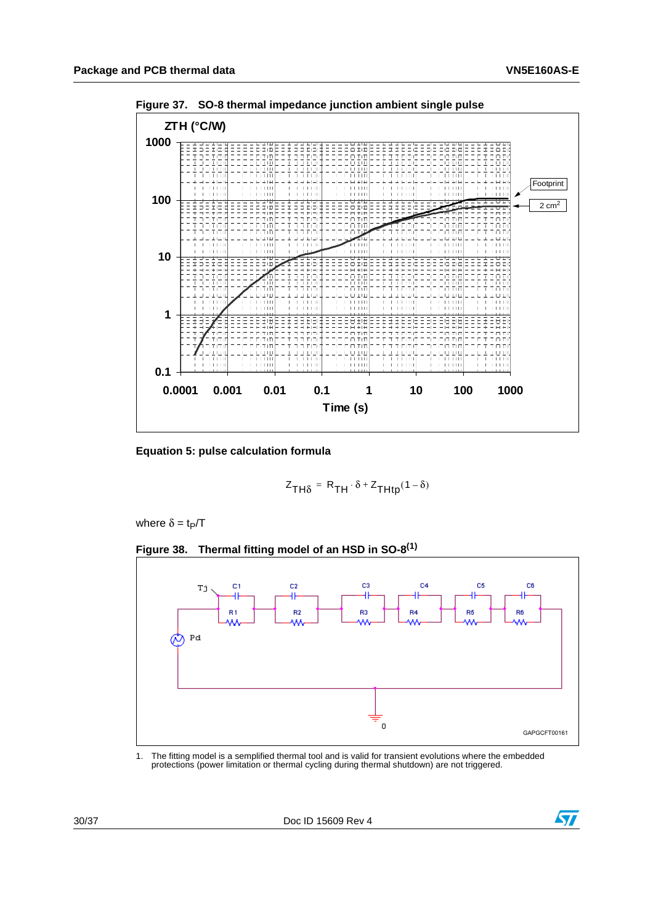

<span id="page-29-0"></span>**Figure 37. SO-8 thermal impedance junction ambient single pulse**

**Equation 5: pulse calculation formula**

$$
Z_{TH\delta} = R_{TH} \cdot \delta + Z_{THtp}(1 - \delta)
$$

where  $\delta = \text{t}_P/T$ 

<span id="page-29-1"></span>



<span id="page-29-2"></span>1. The fitting model is a semplified thermal tool and is valid for transient evolutions where the embedded protections (power limitation or thermal cycling during thermal shutdown) are not triggered.

30/37 Doc ID 15609 Rev 4

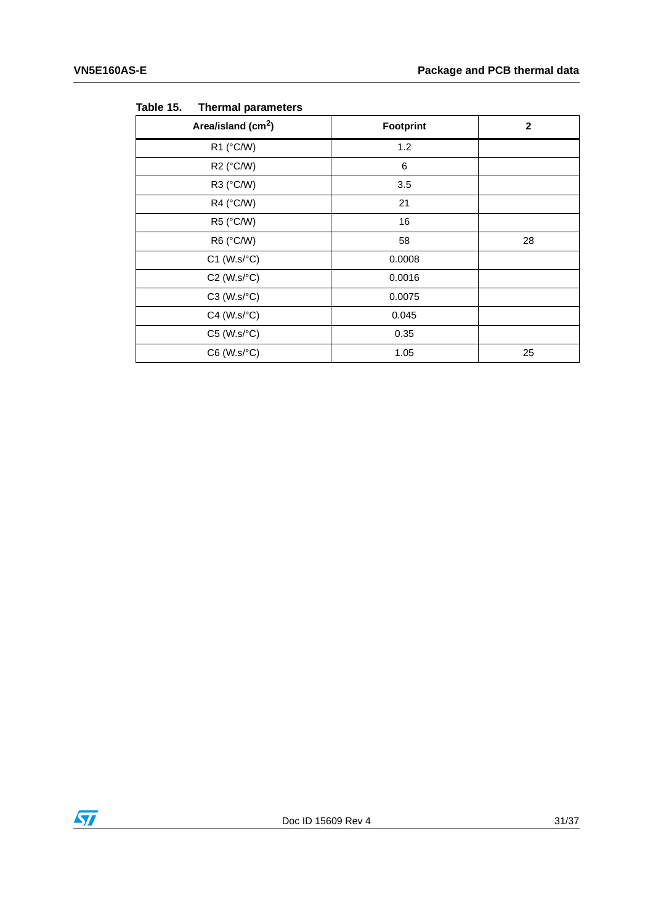| Area/island (cm <sup>2</sup> ) | Footprint | $\mathbf{2}$ |
|--------------------------------|-----------|--------------|
| R1 (°C/W)                      | 1.2       |              |
| R2 (°C/W)                      | 6         |              |
| R3 (°C/W)                      | 3.5       |              |
| R4 (°C/W)                      | 21        |              |
| R5 (°C/W)                      | 16        |              |
| R6 (°C/W)                      | 58        | 28           |
| $C1$ (W.s/ $°C$ )              | 0.0008    |              |
| $C2$ (W.s/ $°C$ )              | 0.0016    |              |
| $C3$ (W.s/ $\textdegree C$ )   | 0.0075    |              |
| $C4$ (W.s/ $°C$ )              | 0.045     |              |
| $C5$ (W.s/ $°C$ )              | 0.35      |              |
| $C6$ (W.s/ $°C$ )              | 1.05      | 25           |

<span id="page-30-0"></span>Table 15. **Thermal parameters** 

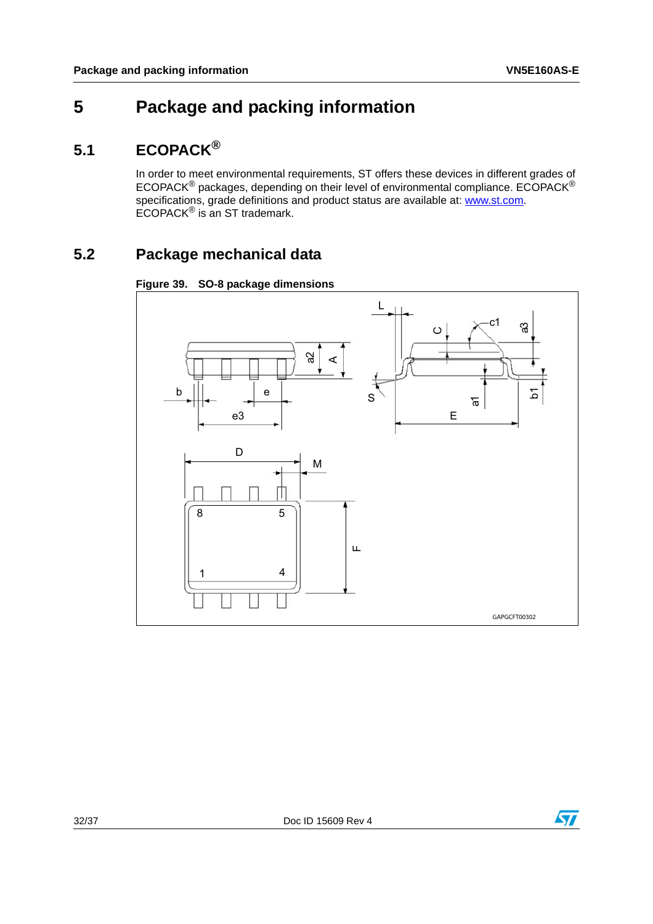## <span id="page-31-0"></span>**5 Package and packing information**

## <span id="page-31-1"></span>**5.1 ECOPACK®**

In order to meet environmental requirements, ST offers these devices in different grades of ECOPACK® packages, depending on their level of environmental compliance. ECOPACK® specifications, grade definitions and product status are available at: **www.st.com**. ECOPACK® is an ST trademark.

## <span id="page-31-2"></span>**5.2 Package mechanical data**

<span id="page-31-3"></span>



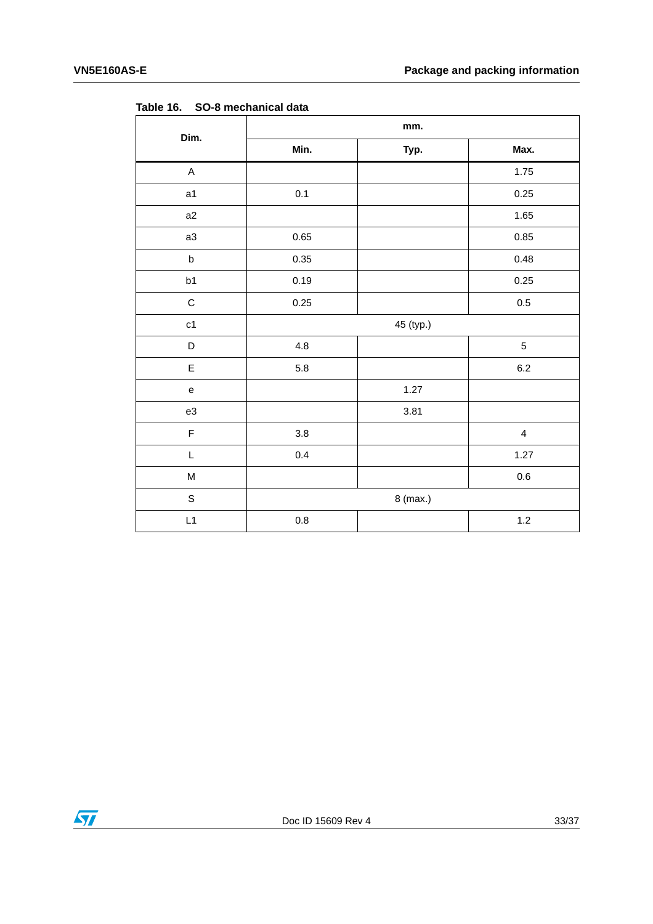| TUNIC TO.                         | <b>OO-0 MILLONIGHTUGH UGGU</b> |           |                         |
|-----------------------------------|--------------------------------|-----------|-------------------------|
| Dim.                              | mm.                            |           |                         |
|                                   | Min.                           | Typ.      | Max.                    |
| $\mathsf A$                       |                                |           | 1.75                    |
| a1                                | $0.1\,$                        |           | 0.25                    |
| a2                                |                                |           | 1.65                    |
| a3                                | 0.65                           |           | 0.85                    |
| $\sf b$                           | 0.35                           |           | 0.48                    |
| b1                                | 0.19                           |           | 0.25                    |
| $\mathsf C$                       | 0.25                           |           | $0.5\,$                 |
| c1                                |                                | 45 (typ.) |                         |
| D                                 | $4.8\,$                        |           | $\mathbf 5$             |
| E                                 | 5.8                            |           | $6.2\,$                 |
| $\mathsf{e}% _{t}\left( t\right)$ |                                | 1.27      |                         |
| e3                                |                                | 3.81      |                         |
| $\mathsf F$                       | $3.8\,$                        |           | $\overline{\mathbf{4}}$ |
| L                                 | 0.4                            |           | 1.27                    |
| ${\sf M}$                         |                                |           | $0.6\,$                 |
| $\mathsf S$                       | 8 (max.)                       |           |                         |
| L1                                | $0.8\,$                        |           | $1.2\,$                 |

<span id="page-32-0"></span>**Table 16. SO-8 mechanical data**

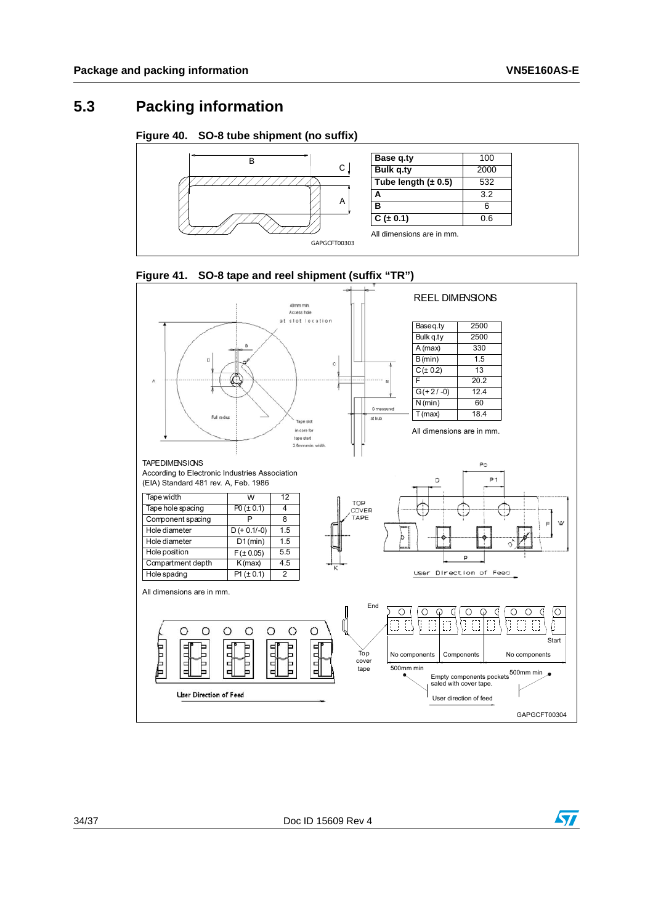## <span id="page-33-0"></span>**5.3 Packing information**

#### <span id="page-33-1"></span>**Figure 40. SO-8 tube shipment (no suffix)**



<span id="page-33-2"></span>



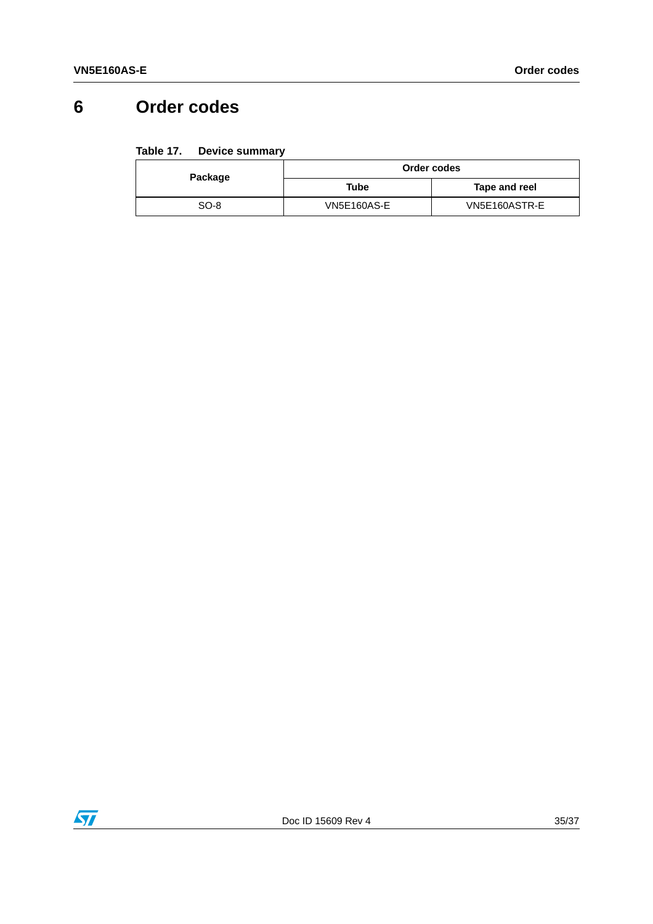## <span id="page-34-0"></span>**6 Order codes**

#### <span id="page-34-1"></span>Table 17. **Device summary**

| Package | Order codes        |               |  |
|---------|--------------------|---------------|--|
|         | Tube               | Tape and reel |  |
| SO-8    | <b>VN5E160AS-E</b> | VN5E160ASTR-E |  |

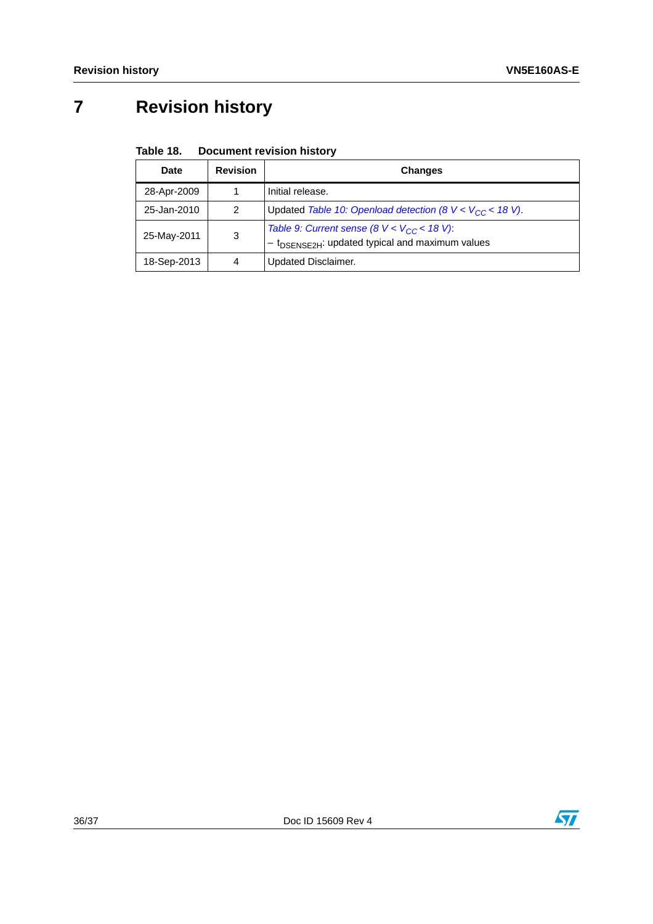# <span id="page-35-0"></span>**7 Revision history**

#### <span id="page-35-1"></span>Table 18. **Document revision history**

| <b>Date</b> | <b>Revision</b> | <b>Changes</b>                                                                                                |
|-------------|-----------------|---------------------------------------------------------------------------------------------------------------|
| 28-Apr-2009 |                 | Initial release.                                                                                              |
| 25-Jan-2010 | 2               | Updated Table 10: Openload detection (8 $V < V_{CC}$ < 18 V).                                                 |
| 25-May-2011 | 3               | Table 9: Current sense (8 $V < V_{CC}$ < 18 V).<br>t <sub>DSENSE2H</sub> : updated typical and maximum values |
| 18-Sep-2013 | 4               | <b>Updated Disclaimer.</b>                                                                                    |